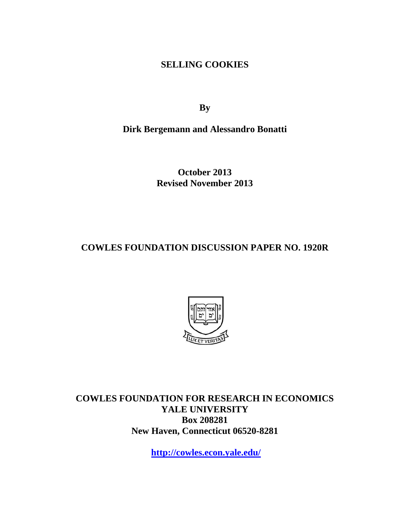**SELLING COOKIES** 

**By** 

**Dirk Bergemann and Alessandro Bonatti** 

**October 2013 Revised November 2013** 

**COWLES FOUNDATION DISCUSSION PAPER NO. 1920R** 



**COWLES FOUNDATION FOR RESEARCH IN ECONOMICS YALE UNIVERSITY Box 208281 New Haven, Connecticut 06520-8281** 

**http://cowles.econ.yale.edu/**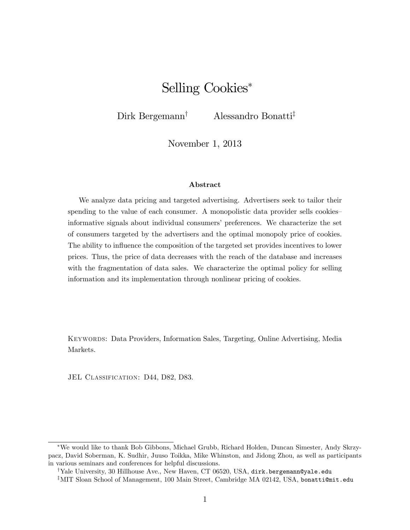# Selling Cookies

Dirk Bergemann<sup>†</sup> Alessandro Bonatti<sup>‡</sup>

November 1, 2013

#### Abstract

We analyze data pricing and targeted advertising. Advertisers seek to tailor their spending to the value of each consumer. A monopolistic data provider sells cookies informative signals about individual consumers' preferences. We characterize the set of consumers targeted by the advertisers and the optimal monopoly price of cookies. The ability to influence the composition of the targeted set provides incentives to lower prices. Thus, the price of data decreases with the reach of the database and increases with the fragmentation of data sales. We characterize the optimal policy for selling information and its implementation through nonlinear pricing of cookies.

Keywords: Data Providers, Information Sales, Targeting, Online Advertising, Media Markets.

JEL CLASSIFICATION: D44, D82, D83.

We would like to thank Bob Gibbons, Michael Grubb, Richard Holden, Duncan Simester, Andy Skrzypacz, David Soberman, K. Sudhir, Juuso Toikka, Mike Whinston, and Jidong Zhou, as well as participants in various seminars and conferences for helpful discussions.

<sup>&</sup>lt;sup>†</sup>Yale University, 30 Hillhouse Ave., New Haven, CT 06520, USA, dirk.bergemann@yale.edu <sup>‡</sup>MIT Sloan School of Management, 100 Main Street, Cambridge MA 02142, USA, bonatti@mit.edu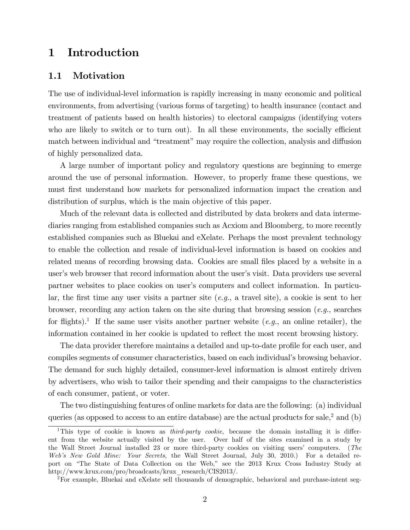## 1 Introduction

### 1.1 Motivation

The use of individual-level information is rapidly increasing in many economic and political environments, from advertising (various forms of targeting) to health insurance (contact and treatment of patients based on health histories) to electoral campaigns (identifying voters who are likely to switch or to turn out). In all these environments, the socially efficient match between individual and "treatment" may require the collection, analysis and diffusion of highly personalized data.

A large number of important policy and regulatory questions are beginning to emerge around the use of personal information. However, to properly frame these questions, we must first understand how markets for personalized information impact the creation and distribution of surplus, which is the main objective of this paper.

Much of the relevant data is collected and distributed by data brokers and data intermediaries ranging from established companies such as Acxiom and Bloomberg, to more recently established companies such as Bluekai and eXelate. Perhaps the most prevalent technology to enable the collection and resale of individual-level information is based on cookies and related means of recording browsing data. Cookies are small files placed by a website in a user's web browser that record information about the user's visit. Data providers use several partner websites to place cookies on user's computers and collect information. In particular, the first time any user visits a partner site  $(e.g., a travel site)$ , a cookie is sent to her browser, recording any action taken on the site during that browsing session  $(e.g.,)$  searches for flights).<sup>1</sup> If the same user visits another partner website  $(e.g.,$  an online retailer), the information contained in her cookie is updated to reflect the most recent browsing history.

The data provider therefore maintains a detailed and up-to-date profile for each user, and compiles segments of consumer characteristics, based on each individual's browsing behavior. The demand for such highly detailed, consumer-level information is almost entirely driven by advertisers, who wish to tailor their spending and their campaigns to the characteristics of each consumer, patient, or voter.

The two distinguishing features of online markets for data are the following: (a) individual queries (as opposed to access to an entire database) are the actual products for sale,<sup>2</sup> and (b)

<sup>&</sup>lt;sup>1</sup>This type of cookie is known as *third-party cookie*, because the domain installing it is different from the website actually visited by the user. Over half of the sites examined in a study by the Wall Street Journal installed 23 or more third-party cookies on visiting users' computers. (The Web's New Gold Mine: Your Secrets, the Wall Street Journal, July 30, 2010.) For a detailed report on "The State of Data Collection on the Web," see the 2013 Krux Cross Industry Study at http://www.krux.com/pro/broadcasts/krux\_research/CIS2013/.

<sup>2</sup>For example, Bluekai and eXelate sell thousands of demographic, behavioral and purchase-intent seg-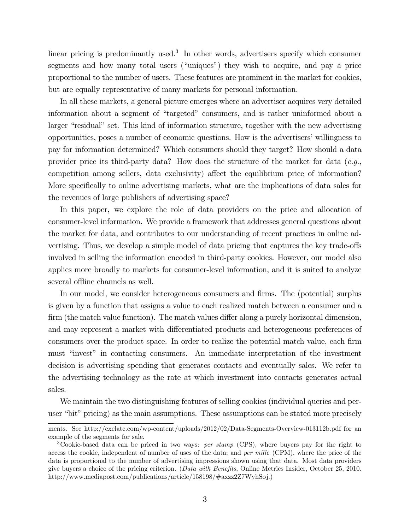linear pricing is predominantly used.<sup>3</sup> In other words, advertisers specify which consumer segments and how many total users ("uniques") they wish to acquire, and pay a price proportional to the number of users. These features are prominent in the market for cookies, but are equally representative of many markets for personal information.

In all these markets, a general picture emerges where an advertiser acquires very detailed information about a segment of "targeted" consumers, and is rather uninformed about a larger "residual" set. This kind of information structure, together with the new advertising opportunities, poses a number of economic questions. How is the advertisers' willingness to pay for information determined? Which consumers should they target? How should a data provider price its third-party data? How does the structure of the market for data  $(e.g.,$ competition among sellers, data exclusivity) affect the equilibrium price of information? More specifically to online advertising markets, what are the implications of data sales for the revenues of large publishers of advertising space?

In this paper, we explore the role of data providers on the price and allocation of consumer-level information. We provide a framework that addresses general questions about the market for data, and contributes to our understanding of recent practices in online advertising. Thus, we develop a simple model of data pricing that captures the key trade-offs involved in selling the information encoded in third-party cookies. However, our model also applies more broadly to markets for consumer-level information, and it is suited to analyze several offline channels as well.

In our model, we consider heterogeneous consumers and firms. The (potential) surplus is given by a function that assigns a value to each realized match between a consumer and a firm (the match value function). The match values differ along a purely horizontal dimension, and may represent a market with differentiated products and heterogeneous preferences of consumers over the product space. In order to realize the potential match value, each firm must "invest" in contacting consumers. An immediate interpretation of the investment decision is advertising spending that generates contacts and eventually sales. We refer to the advertising technology as the rate at which investment into contacts generates actual sales.

We maintain the two distinguishing features of selling cookies (individual queries and peruser "bit" pricing) as the main assumptions. These assumptions can be stated more precisely

ments. See http://exelate.com/wp-content/uploads/2012/02/Data-Segments-Overview-013112b.pdf for an example of the segments for sale.

<sup>&</sup>lt;sup>3</sup>Cookie-based data can be priced in two ways: *per stamp* (CPS), where buyers pay for the right to access the cookie, independent of number of uses of the data; and per mille (CPM), where the price of the data is proportional to the number of advertising impressions shown using that data. Most data providers give buyers a choice of the pricing criterion. (Data with Benefits, Online Metrics Insider, October 25, 2010.) http://www.mediapost.com/publications/article/158198/#axzz2Z7WyhSoj.)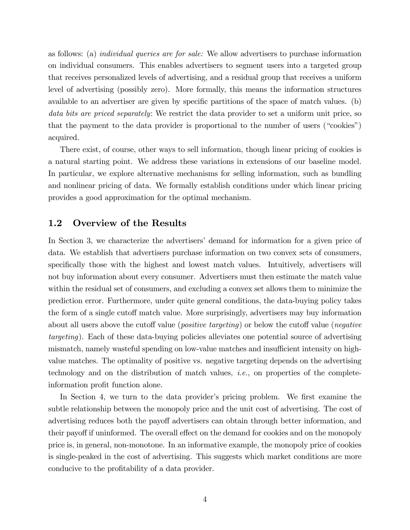as follows: (a) individual queries are for sale: We allow advertisers to purchase information on individual consumers. This enables advertisers to segment users into a targeted group that receives personalized levels of advertising, and a residual group that receives a uniform level of advertising (possibly zero). More formally, this means the information structures available to an advertiser are given by specific partitions of the space of match values. (b) data bits are priced separately: We restrict the data provider to set a uniform unit price, so that the payment to the data provider is proportional to the number of users ("cookies") acquired.

There exist, of course, other ways to sell information, though linear pricing of cookies is a natural starting point. We address these variations in extensions of our baseline model. In particular, we explore alternative mechanisms for selling information, such as bundling and nonlinear pricing of data. We formally establish conditions under which linear pricing provides a good approximation for the optimal mechanism.

### 1.2 Overview of the Results

In Section 3, we characterize the advertisers' demand for information for a given price of data. We establish that advertisers purchase information on two convex sets of consumers, specifically those with the highest and lowest match values. Intuitively, advertisers will not buy information about every consumer. Advertisers must then estimate the match value within the residual set of consumers, and excluding a convex set allows them to minimize the prediction error. Furthermore, under quite general conditions, the data-buying policy takes the form of a single cutoff match value. More surprisingly, advertisers may buy information about all users above the cutoff value (*positive targeting*) or below the cutoff value (*negative* targeting). Each of these data-buying policies alleviates one potential source of advertising mismatch, namely wasteful spending on low-value matches and insufficient intensity on highvalue matches. The optimality of positive vs. negative targeting depends on the advertising technology and on the distribution of match values, *i.e.*, on properties of the completeinformation profit function alone.

In Section 4, we turn to the data provider's pricing problem. We first examine the subtle relationship between the monopoly price and the unit cost of advertising. The cost of advertising reduces both the payoff advertisers can obtain through better information, and their payoff if uninformed. The overall effect on the demand for cookies and on the monopoly price is, in general, non-monotone. In an informative example, the monopoly price of cookies is single-peaked in the cost of advertising. This suggests which market conditions are more conducive to the profitability of a data provider.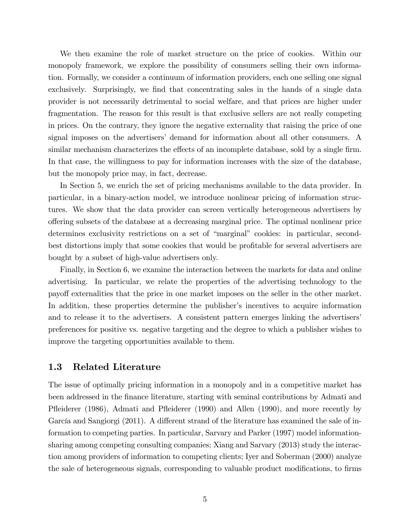We then examine the role of market structure on the price of cookies. Within our monopoly framework, we explore the possibility of consumers selling their own information. Formally, we consider a continuum of information providers, each one selling one signal exclusively. Surprisingly, we find that concentrating sales in the hands of a single data provider is not necessarily detrimental to social welfare, and that prices are higher under fragmentation. The reason for this result is that exclusive sellers are not really competing in prices. On the contrary, they ignore the negative externality that raising the price of one signal imposes on the advertisers' demand for information about all other consumers. A similar mechanism characterizes the effects of an incomplete database, sold by a single firm. In that case, the willingness to pay for information increases with the size of the database, but the monopoly price may, in fact, decrease.

In Section 5, we enrich the set of pricing mechanisms available to the data provider. In particular, in a binary-action model, we introduce nonlinear pricing of information structures. We show that the data provider can screen vertically heterogeneous advertisers by o§ering subsets of the database at a decreasing marginal price. The optimal nonlinear price determines exclusivity restrictions on a set of "marginal" cookies: in particular, secondbest distortions imply that some cookies that would be profitable for several advertisers are bought by a subset of high-value advertisers only.

Finally, in Section 6, we examine the interaction between the markets for data and online advertising. In particular, we relate the properties of the advertising technology to the payo§ externalities that the price in one market imposes on the seller in the other market. In addition, these properties determine the publisher's incentives to acquire information and to release it to the advertisers. A consistent pattern emerges linking the advertisers' preferences for positive vs. negative targeting and the degree to which a publisher wishes to improve the targeting opportunities available to them.

## 1.3 Related Literature

The issue of optimally pricing information in a monopoly and in a competitive market has been addressed in the Önance literature, starting with seminal contributions by Admati and Pfleiderer (1986), Admati and Pfleiderer (1990) and Allen (1990), and more recently by García and Sangiorgi  $(2011)$ . A different strand of the literature has examined the sale of information to competing parties. In particular, Sarvary and Parker (1997) model informationsharing among competing consulting companies; Xiang and Sarvary (2013) study the interaction among providers of information to competing clients; Iyer and Soberman (2000) analyze the sale of heterogeneous signals, corresponding to valuable product modifications, to firms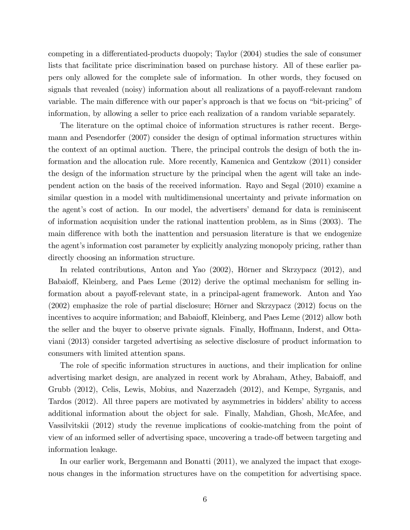competing in a differentiated-products duopoly; Taylor (2004) studies the sale of consumer lists that facilitate price discrimination based on purchase history. All of these earlier papers only allowed for the complete sale of information. In other words, they focused on signals that revealed (noisy) information about all realizations of a payoff-relevant random variable. The main difference with our paper's approach is that we focus on "bit-pricing" of information, by allowing a seller to price each realization of a random variable separately.

The literature on the optimal choice of information structures is rather recent. Bergemann and Pesendorfer (2007) consider the design of optimal information structures within the context of an optimal auction. There, the principal controls the design of both the information and the allocation rule. More recently, Kamenica and Gentzkow (2011) consider the design of the information structure by the principal when the agent will take an independent action on the basis of the received information. Rayo and Segal (2010) examine a similar question in a model with multidimensional uncertainty and private information on the agent's cost of action. In our model, the advertisers' demand for data is reminiscent of information acquisition under the rational inattention problem, as in Sims (2003). The main difference with both the inattention and persuasion literature is that we endogenize the agent's information cost parameter by explicitly analyzing monopoly pricing, rather than directly choosing an information structure.

In related contributions, Anton and Yao  $(2002)$ , Hörner and Skrzypacz  $(2012)$ , and Babaioff, Kleinberg, and Paes Leme (2012) derive the optimal mechanism for selling information about a payoff-relevant state, in a principal-agent framework. Anton and Yao  $(2002)$  emphasize the role of partial disclosure; Hörner and Skrzypacz  $(2012)$  focus on the incentives to acquire information; and Babaioff, Kleinberg, and Paes Leme (2012) allow both the seller and the buyer to observe private signals. Finally, Hoffmann, Inderst, and Ottaviani (2013) consider targeted advertising as selective disclosure of product information to consumers with limited attention spans.

The role of specific information structures in auctions, and their implication for online advertising market design, are analyzed in recent work by Abraham, Athey, Babaioff, and Grubb (2012), Celis, Lewis, Mobius, and Nazerzadeh (2012), and Kempe, Syrganis, and Tardos (2012). All three papers are motivated by asymmetries in bidders' ability to access additional information about the object for sale. Finally, Mahdian, Ghosh, McAfee, and Vassilvitskii (2012) study the revenue implications of cookie-matching from the point of view of an informed seller of advertising space, uncovering a trade-off between targeting and information leakage.

In our earlier work, Bergemann and Bonatti (2011), we analyzed the impact that exogenous changes in the information structures have on the competition for advertising space.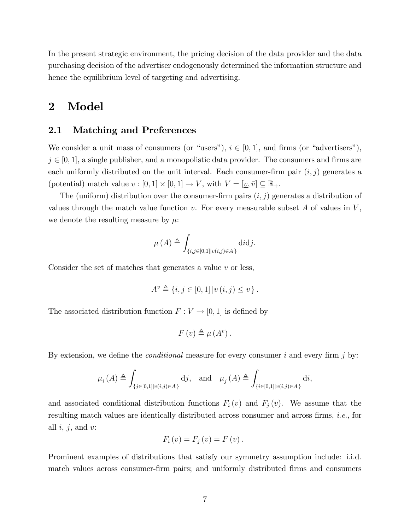In the present strategic environment, the pricing decision of the data provider and the data purchasing decision of the advertiser endogenously determined the information structure and hence the equilibrium level of targeting and advertising.

## 2 Model

## 2.1 Matching and Preferences

We consider a unit mass of consumers (or "users"),  $i \in [0, 1]$ , and firms (or "advertisers"),  $j \in [0, 1]$ , a single publisher, and a monopolistic data provider. The consumers and firms are each uniformly distributed on the unit interval. Each consumer-firm pair  $(i, j)$  generates a (potential) match value  $v : [0,1] \times [0,1] \to V$ , with  $V = [\underline{v}, \overline{v}] \subseteq \mathbb{R}_+$ .

The (uniform) distribution over the consumer-firm pairs  $(i, j)$  generates a distribution of values through the match value function  $v$ . For every measurable subset A of values in  $V$ , we denote the resulting measure by  $\mu$ .

$$
\mu(A) \triangleq \int_{\{i,j\in[0,1]|v(i,j)\in A\}} \text{d}i\text{d}j.
$$

Consider the set of matches that generates a value  $v$  or less,

$$
A^{v} \triangleq \{i, j \in [0, 1] | v(i, j) \le v\}.
$$

The associated distribution function  $F: V \to [0, 1]$  is defined by

$$
F(v) \triangleq \mu(A^v).
$$

By extension, we define the *conditional* measure for every consumer i and every firm j by:

$$
\mu_i(A) \triangleq \int_{\{j \in [0,1] | v(i,j) \in A\}} \mathrm{d}j, \quad \text{and} \quad \mu_j(A) \triangleq \int_{\{i \in [0,1] | v(i,j) \in A\}} \mathrm{d}i,
$$

and associated conditional distribution functions  $F_i(v)$  and  $F_j(v)$ . We assume that the resulting match values are identically distributed across consumer and across firms, *i.e.*, for all  $i, j$ , and  $v$ :

$$
F_i(v) = F_j(v) = F(v).
$$

Prominent examples of distributions that satisfy our symmetry assumption include: i.i.d. match values across consumer-firm pairs; and uniformly distributed firms and consumers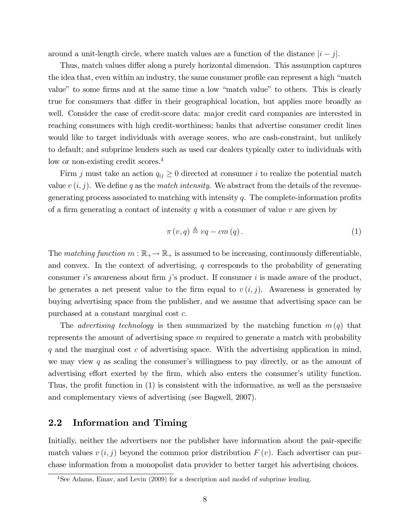around a unit-length circle, where match values are a function of the distance  $|i-j|$ .

Thus, match values differ along a purely horizontal dimension. This assumption captures the idea that, even within an industry, the same consumer profile can represent a high "match" value" to some firms and at the same time a low "match value" to others. This is clearly true for consumers that differ in their geographical location, but applies more broadly as well. Consider the case of credit-score data: major credit card companies are interested in reaching consumers with high credit-worthiness; banks that advertise consumer credit lines would like to target individuals with average scores, who are cash-constraint, but unlikely to default; and subprime lenders such as used car dealers typically cater to individuals with low or non-existing credit scores.<sup>4</sup>

Firm j must take an action  $q_{ij} \geq 0$  directed at consumer i to realize the potential match value  $v(i, j)$ . We define q as the match intensity. We abstract from the details of the revenuegenerating process associated to matching with intensity  $q$ . The complete-information profits of a firm generating a contact of intensity q with a consumer of value  $v$  are given by

$$
\pi(v,q) \triangleq vq - cm(q). \tag{1}
$$

The matching function  $m : \mathbb{R}_+ \to \mathbb{R}_+$  is assumed to be increasing, continuously differentiable, and convex. In the context of advertising,  $q$  corresponds to the probability of generating consumer i's awareness about firm j's product. If consumer i is made aware of the product, he generates a net present value to the firm equal to  $v (i, j)$ . Awareness is generated by buying advertising space from the publisher, and we assume that advertising space can be purchased at a constant marginal cost c.

The *advertising technology* is then summarized by the matching function  $m(q)$  that represents the amount of advertising space  $m$  required to generate a match with probability  $q$  and the marginal cost  $c$  of advertising space. With the advertising application in mind, we may view q as scaling the consumer's willingness to pay directly, or as the amount of advertising effort exerted by the firm, which also enters the consumer's utility function. Thus, the profit function in  $(1)$  is consistent with the informative, as well as the persuasive and complementary views of advertising (see Bagwell, 2007).

## 2.2 Information and Timing

Initially, neither the advertisers nor the publisher have information about the pair-specific match values  $v(i, j)$  beyond the common prior distribution  $F(v)$ . Each advertiser can purchase information from a monopolist data provider to better target his advertising choices.

<sup>4</sup>See Adams, Einav, and Levin (2009) for a description and model of subprime lending.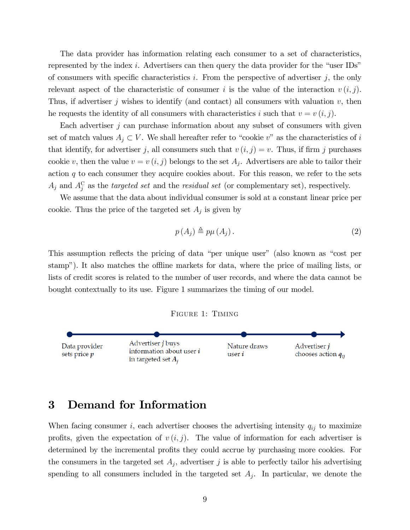The data provider has information relating each consumer to a set of characteristics, represented by the index  $i$ . Advertisers can then query the data provider for the "user IDs" of consumers with specific characteristics i. From the perspective of advertiser  $j$ , the only relevant aspect of the characteristic of consumer i is the value of the interaction  $v(i, j)$ . Thus, if advertiser j wishes to identify (and contact) all consumers with valuation  $v$ , then he requests the identity of all consumers with characteristics i such that  $v = v(i, j)$ .

Each advertiser  $j$  can purchase information about any subset of consumers with given set of match values  $A_j \subset V$ . We shall hereafter refer to "cookie v" as the characteristics of i that identify, for advertiser j, all consumers such that  $v(i, j) = v$ . Thus, if firm j purchases cookie v, then the value  $v = v(i, j)$  belongs to the set  $A_j$ . Advertisers are able to tailor their action  $q$  to each consumer they acquire cookies about. For this reason, we refer to the sets  $A_j$  and  $A_j^C$  as the *targeted set* and the *residual set* (or complementary set), respectively.

We assume that the data about individual consumer is sold at a constant linear price per cookie. Thus the price of the targeted set  $A_j$  is given by

$$
p(A_j) \triangleq p\mu(A_j). \tag{2}
$$

This assumption reflects the pricing of data "per unique user" (also known as "cost per stamp"). It also matches the offline markets for data, where the price of mailing lists, or lists of credit scores is related to the number of user records, and where the data cannot be bought contextually to its use. Figure 1 summarizes the timing of our model.





## 3 Demand for Information

When facing consumer i, each advertiser chooses the advertising intensity  $q_{ij}$  to maximize profits, given the expectation of  $v(i, j)$ . The value of information for each advertiser is determined by the incremental profits they could accrue by purchasing more cookies. For the consumers in the targeted set  $A_j$ , advertiser j is able to perfectly tailor his advertising spending to all consumers included in the targeted set  $A_j$ . In particular, we denote the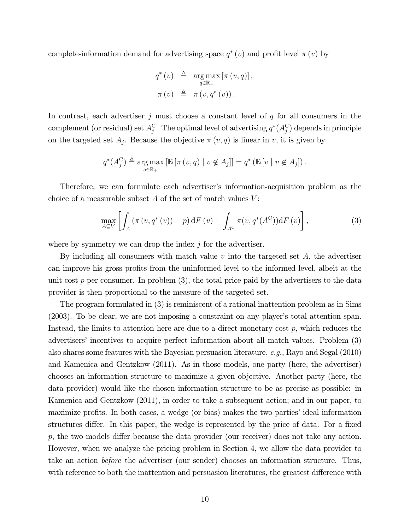complete-information demand for advertising space  $q^*(v)$  and profit level  $\pi(v)$  by

$$
q^*(v) \triangleq \underset{q \in \mathbb{R}_+}{\arg \max} \left[ \pi(v, q) \right],
$$

$$
\pi(v) \triangleq \pi(v, q^*(v)).
$$

In contrast, each advertiser  $j$  must choose a constant level of  $q$  for all consumers in the complement (or residual) set  $A_j^{\mathcal{C}}$ . The optimal level of advertising  $q^*(A_j^{\mathcal{C}})$  depends in principle on the targeted set  $A_j$ . Because the objective  $\pi(v, q)$  is linear in v, it is given by

$$
q^*(A_j^C) \triangleq \underset{q \in \mathbb{R}_+}{\arg \max} \left[ \mathbb{E} \left[ \pi(v, q) \mid v \notin A_j \right] \right] = q^* \left( \mathbb{E} \left[ v \mid v \notin A_j \right] \right).
$$

Therefore, we can formulate each advertiser's information-acquisition problem as the choice of a measurable subset  $A$  of the set of match values  $V$ :

$$
\max_{A \subseteq V} \left[ \int_A \left( \pi(v, q^*(v)) - p \right) dF(v) + \int_{A^C} \pi(v, q^*(A^C)) dF(v) \right],\tag{3}
$$

where by symmetry we can drop the index  $j$  for the advertiser.

By including all consumers with match value  $v$  into the targeted set  $A$ , the advertiser can improve his gross profits from the uninformed level to the informed level, albeit at the unit cost  $p$  per consumer. In problem  $(3)$ , the total price paid by the advertisers to the data provider is then proportional to the measure of the targeted set.

The program formulated in (3) is reminiscent of a rational inattention problem as in Sims  $(2003)$ . To be clear, we are not imposing a constraint on any player's total attention span. Instead, the limits to attention here are due to a direct monetary cost  $p$ , which reduces the advertisers' incentives to acquire perfect information about all match values. Problem (3) also shares some features with the Bayesian persuasion literature, e.g., Rayo and Segal (2010) and Kamenica and Gentzkow (2011). As in those models, one party (here, the advertiser) chooses an information structure to maximize a given objective. Another party (here, the data provider) would like the chosen information structure to be as precise as possible: in Kamenica and Gentzkow (2011), in order to take a subsequent action; and in our paper, to maximize profits. In both cases, a wedge (or bias) makes the two parties' ideal information structures differ. In this paper, the wedge is represented by the price of data. For a fixed  $p$ , the two models differ because the data provider (our receiver) does not take any action. However, when we analyze the pricing problem in Section 4, we allow the data provider to take an action before the advertiser (our sender) chooses an information structure. Thus, with reference to both the inattention and persuasion literatures, the greatest difference with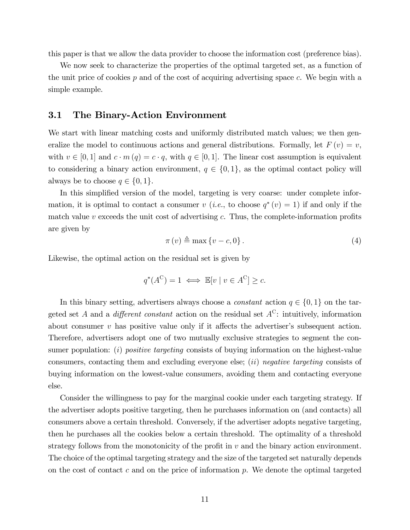this paper is that we allow the data provider to choose the information cost (preference bias).

We now seek to characterize the properties of the optimal targeted set, as a function of the unit price of cookies  $p$  and of the cost of acquiring advertising space  $c$ . We begin with a simple example.

### 3.1 The Binary-Action Environment

We start with linear matching costs and uniformly distributed match values; we then generalize the model to continuous actions and general distributions. Formally, let  $F(v) = v$ , with  $v \in [0, 1]$  and  $c \cdot m (q) = c \cdot q$ , with  $q \in [0, 1]$ . The linear cost assumption is equivalent to considering a binary action environment,  $q \in \{0, 1\}$ , as the optimal contact policy will always be to choose  $q \in \{0, 1\}.$ 

In this simplified version of the model, targeting is very coarse: under complete information, it is optimal to contact a consumer v (*i.e.*, to choose  $q^*(v) = 1$ ) if and only if the match value  $v$  exceeds the unit cost of advertising  $c$ . Thus, the complete-information profits are given by

$$
\pi(v) \triangleq \max\{v - c, 0\}.
$$
\n(4)

Likewise, the optimal action on the residual set is given by

$$
q^*(A^C) = 1 \iff \mathbb{E}[v \mid v \in A^C] \ge c.
$$

In this binary setting, advertisers always choose a *constant* action  $q \in \{0, 1\}$  on the targeted set A and a *different constant* action on the residual set  $A^C$ : intuitively, information about consumer  $v$  has positive value only if it affects the advertiser's subsequent action. Therefore, advertisers adopt one of two mutually exclusive strategies to segment the consumer population:  $(i)$  *positive targeting* consists of buying information on the highest-value consumers, contacting them and excluding everyone else;  $(ii)$  negative targeting consists of buying information on the lowest-value consumers, avoiding them and contacting everyone else.

Consider the willingness to pay for the marginal cookie under each targeting strategy. If the advertiser adopts positive targeting, then he purchases information on (and contacts) all consumers above a certain threshold. Conversely, if the advertiser adopts negative targeting, then he purchases all the cookies below a certain threshold. The optimality of a threshold strategy follows from the monotonicity of the profit in  $v$  and the binary action environment. The choice of the optimal targeting strategy and the size of the targeted set naturally depends on the cost of contact c and on the price of information  $p$ . We denote the optimal targeted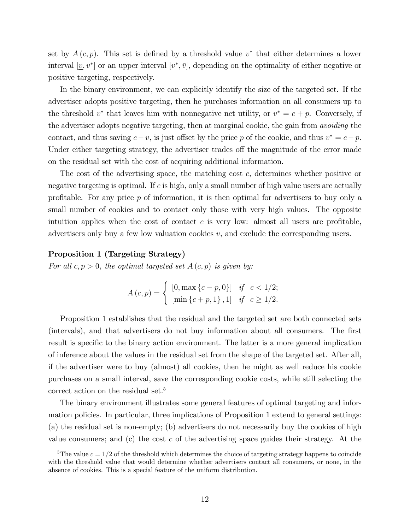set by  $A(c, p)$ . This set is defined by a threshold value  $v^*$  that either determines a lower interval  $[\underline{v}, v^*]$  or an upper interval  $[v^*, \bar{v}]$ , depending on the optimality of either negative or positive targeting, respectively.

In the binary environment, we can explicitly identify the size of the targeted set. If the advertiser adopts positive targeting, then he purchases information on all consumers up to the threshold  $v^*$  that leaves him with nonnegative net utility, or  $v^* = c + p$ . Conversely, if the advertiser adopts negative targeting, then at marginal cookie, the gain from avoiding the contact, and thus saving  $c-v$ , is just offset by the price p of the cookie, and thus  $v^* = c-p$ . Under either targeting strategy, the advertiser trades of the magnitude of the error made on the residual set with the cost of acquiring additional information.

The cost of the advertising space, the matching cost c, determines whether positive or negative targeting is optimal. If  $c$  is high, only a small number of high value users are actually profitable. For any price  $p$  of information, it is then optimal for advertisers to buy only a small number of cookies and to contact only those with very high values. The opposite intuition applies when the cost of contact  $c$  is very low: almost all users are profitable, advertisers only buy a few low valuation cookies  $v$ , and exclude the corresponding users.

#### Proposition 1 (Targeting Strategy)

For all  $c, p > 0$ , the optimal targeted set  $A(c, p)$  is given by:

$$
A(c, p) = \begin{cases} [0, \max\{c - p, 0\}] & \text{if } c < 1/2; \\ [\min\{c + p, 1\}, 1] & \text{if } c \ge 1/2. \end{cases}
$$

Proposition 1 establishes that the residual and the targeted set are both connected sets (intervals), and that advertisers do not buy information about all consumers. The first result is specific to the binary action environment. The latter is a more general implication of inference about the values in the residual set from the shape of the targeted set. After all, if the advertiser were to buy (almost) all cookies, then he might as well reduce his cookie purchases on a small interval, save the corresponding cookie costs, while still selecting the correct action on the residual set.<sup>5</sup>

The binary environment illustrates some general features of optimal targeting and information policies. In particular, three implications of Proposition 1 extend to general settings: (a) the residual set is non-empty; (b) advertisers do not necessarily buy the cookies of high value consumers; and (c) the cost c of the advertising space guides their strategy. At the

<sup>&</sup>lt;sup>5</sup>The value  $c = 1/2$  of the threshold which determines the choice of targeting strategy happens to coincide with the threshold value that would determine whether advertisers contact all consumers, or none, in the absence of cookies. This is a special feature of the uniform distribution.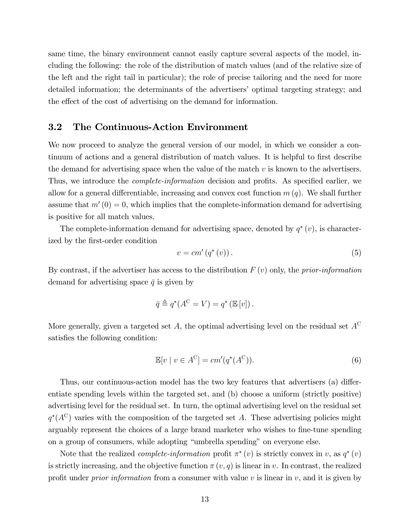same time, the binary environment cannot easily capture several aspects of the model, including the following: the role of the distribution of match values (and of the relative size of the left and the right tail in particular); the role of precise tailoring and the need for more detailed information; the determinants of the advertisersí optimal targeting strategy; and the effect of the cost of advertising on the demand for information.

### 3.2 The Continuous-Action Environment

We now proceed to analyze the general version of our model, in which we consider a continuum of actions and a general distribution of match values. It is helpful to first describe the demand for advertising space when the value of the match  $v$  is known to the advertisers. Thus, we introduce the *complete-information* decision and profits. As specified earlier, we allow for a general differentiable, increasing and convex cost function  $m(q)$ . We shall further assume that  $m'(0) = 0$ , which implies that the complete-information demand for advertising is positive for all match values.

The complete-information demand for advertising space, denoted by  $q^*(v)$ , is characterized by the first-order condition

$$
v = cm'\left(q^*\left(v\right)\right). \tag{5}
$$

By contrast, if the advertiser has access to the distribution  $F(v)$  only, the prior-information demand for advertising space  $\bar{q}$  is given by

$$
\bar{q} \triangleq q^*(A^{\mathcal{C}} = V) = q^* (\mathbb{E}[v]).
$$

More generally, given a targeted set  $A$ , the optimal advertising level on the residual set  $A^C$ satisfies the following condition:

$$
\mathbb{E}[v \mid v \in A^{\mathcal{C}}] = cm'(q^*(A^{\mathcal{C}})).
$$
\n(6)

Thus, our continuous-action model has the two key features that advertisers (a) differentiate spending levels within the targeted set, and (b) choose a uniform (strictly positive) advertising level for the residual set. In turn, the optimal advertising level on the residual set  $q^*(A^C)$  varies with the composition of the targeted set A. These advertising policies might arguably represent the choices of a large brand marketer who wishes to fine-tune spending on a group of consumers, while adopting "umbrella spending" on everyone else.

Note that the realized *complete-information* profit  $\pi^*(v)$  is strictly convex in v, as  $q^*(v)$ is strictly increasing, and the objective function  $\pi(v, q)$  is linear in v. In contrast, the realized profit under *prior information* from a consumer with value v is linear in v, and it is given by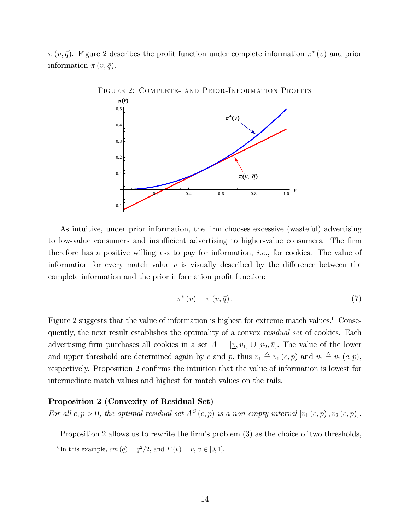$\pi(v, \bar{q})$ . Figure 2 describes the profit function under complete information  $\pi^*(v)$  and prior information  $\pi(v, \bar{q})$ .



As intuitive, under prior information, the firm chooses excessive (wasteful) advertising to low-value consumers and insufficient advertising to higher-value consumers. The firm therefore has a positive willingness to pay for information, *i.e.*, for cookies. The value of information for every match value  $v$  is visually described by the difference between the complete information and the prior information profit function:

$$
\pi^*(v) - \pi(v, \bar{q}).\tag{7}
$$

Figure 2 suggests that the value of information is highest for extreme match values.<sup>6</sup> Consequently, the next result establishes the optimality of a convex *residual set* of cookies. Each advertising firm purchases all cookies in a set  $A = [\underline{v}, v_1] \cup [v_2, \overline{v}]$ . The value of the lower and upper threshold are determined again by c and p, thus  $v_1 \triangleq v_1 (c, p)$  and  $v_2 \triangleq v_2 (c, p)$ , respectively. Proposition 2 confirms the intuition that the value of information is lowest for intermediate match values and highest for match values on the tails.

### Proposition 2 (Convexity of Residual Set)

For all  $c, p > 0$ , the optimal residual set  $A^C(c, p)$  is a non-empty interval  $[v_1(c, p), v_2(c, p)]$ .

Proposition 2 allows us to rewrite the firm's problem (3) as the choice of two thresholds,

<sup>&</sup>lt;sup>6</sup>In this example,  $cm (q) = q^2/2$ , and  $F (v) = v, v \in [0, 1]$ .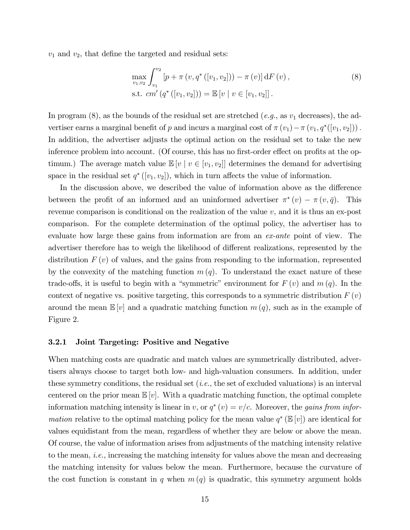$v_1$  and  $v_2$ , that define the targeted and residual sets:

$$
\max_{v_1, v_2} \int_{v_1}^{v_2} \left[ p + \pi \left( v, q^* \left( [v_1, v_2] \right) \right) - \pi \left( v \right) \right] dF \left( v \right),
$$
\ns.t. cm' \left( q^\* \left( [v\_1, v\_2] \right) \right) = \mathbb{E} \left[ v \mid v \in [v\_1, v\_2] \right].

\n(8)

In program  $(8)$ , as the bounds of the residual set are stretched  $(e.g.,$  as  $v_1$  decreases), the advertiser earns a marginal benefit of p and incurs a marginal cost of  $\pi(v_1) - \pi(v_1, q^*([v_1, v_2]))$ . In addition, the advertiser adjusts the optimal action on the residual set to take the new inference problem into account. (Of course, this has no first-order effect on profits at the optimum.) The average match value  $\mathbb{E}[v \mid v \in [v_1, v_2]]$  determines the demand for advertising space in the residual set  $q^*([v_1, v_2])$ , which in turn affects the value of information.

In the discussion above, we described the value of information above as the difference between the profit of an informed and an uninformed advertiser  $\pi^*(v) - \pi(v, \bar{q})$ . This revenue comparison is conditional on the realization of the value  $v$ , and it is thus an ex-post comparison. For the complete determination of the optimal policy, the advertiser has to evaluate how large these gains from information are from an ex-ante point of view. The advertiser therefore has to weigh the likelihood of different realizations, represented by the distribution  $F(v)$  of values, and the gains from responding to the information, represented by the convexity of the matching function  $m(q)$ . To understand the exact nature of these trade-offs, it is useful to begin with a "symmetric" environment for  $F(v)$  and  $m(q)$ . In the context of negative vs. positive targeting, this corresponds to a symmetric distribution  $F(v)$ around the mean  $\mathbb{E}[v]$  and a quadratic matching function  $m(q)$ , such as in the example of Figure 2.

#### 3.2.1 Joint Targeting: Positive and Negative

When matching costs are quadratic and match values are symmetrically distributed, advertisers always choose to target both low- and high-valuation consumers. In addition, under these symmetry conditions, the residual set  $(i.e.,$  the set of excluded valuations) is an interval centered on the prior mean  $\mathbb{E}[v]$ . With a quadratic matching function, the optimal complete information matching intensity is linear in v, or  $q^*(v) = v/c$ . Moreover, the *gains from infor*mation relative to the optimal matching policy for the mean value  $q^* (\mathbb{E}[v])$  are identical for values equidistant from the mean, regardless of whether they are below or above the mean. Of course, the value of information arises from adjustments of the matching intensity relative to the mean, i.e., increasing the matching intensity for values above the mean and decreasing the matching intensity for values below the mean. Furthermore, because the curvature of the cost function is constant in q when  $m(q)$  is quadratic, this symmetry argument holds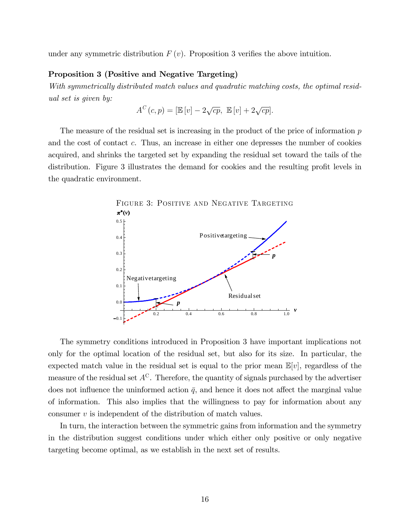under any symmetric distribution  $F(v)$ . Proposition 3 verifies the above intuition.

#### Proposition 3 (Positive and Negative Targeting)

With symmetrically distributed match values and quadratic matching costs, the optimal residual set is given by:

$$
A^{C}(c,p) = [\mathbb{E}[v] - 2\sqrt{cp}, \ \mathbb{E}[v] + 2\sqrt{cp}].
$$

The measure of the residual set is increasing in the product of the price of information  $p$ and the cost of contact c. Thus, an increase in either one depresses the number of cookies acquired, and shrinks the targeted set by expanding the residual set toward the tails of the distribution. Figure 3 illustrates the demand for cookies and the resulting profit levels in the quadratic environment.



The symmetry conditions introduced in Proposition 3 have important implications not only for the optimal location of the residual set, but also for its size. In particular, the expected match value in the residual set is equal to the prior mean  $\mathbb{E}[v]$ , regardless of the measure of the residual set  $A^C$ . Therefore, the quantity of signals purchased by the advertiser does not influence the uninformed action  $\bar{q}$ , and hence it does not affect the marginal value of information. This also implies that the willingness to pay for information about any consumer  $v$  is independent of the distribution of match values.

In turn, the interaction between the symmetric gains from information and the symmetry in the distribution suggest conditions under which either only positive or only negative targeting become optimal, as we establish in the next set of results.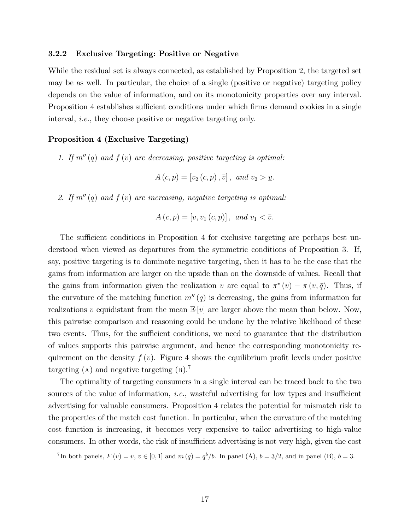#### 3.2.2 Exclusive Targeting: Positive or Negative

While the residual set is always connected, as established by Proposition 2, the targeted set may be as well. In particular, the choice of a single (positive or negative) targeting policy depends on the value of information, and on its monotonicity properties over any interval. Proposition 4 establishes sufficient conditions under which firms demand cookies in a single interval, i.e., they choose positive or negative targeting only.

### Proposition 4 (Exclusive Targeting)

1. If  $m''(q)$  and  $f(v)$  are decreasing, positive targeting is optimal:

$$
A(c, p) = [v_2(c, p), \bar{v}], \text{ and } v_2 > \underline{v}.
$$

2. If  $m''(q)$  and  $f(v)$  are increasing, negative targeting is optimal:

$$
A(c,p) = [\underline{v}, v_1(c,p)], \text{ and } v_1 < \overline{v}.
$$

The sufficient conditions in Proposition 4 for exclusive targeting are perhaps best understood when viewed as departures from the symmetric conditions of Proposition 3. If, say, positive targeting is to dominate negative targeting, then it has to be the case that the gains from information are larger on the upside than on the downside of values. Recall that the gains from information given the realization v are equal to  $\pi^*(v) - \pi(v, \bar{q})$ . Thus, if the curvature of the matching function  $m''(q)$  is decreasing, the gains from information for realizations v equidistant from the mean  $\mathbb{E}[v]$  are larger above the mean than below. Now, this pairwise comparison and reasoning could be undone by the relative likelihood of these two events. Thus, for the sufficient conditions, we need to guarantee that the distribution of values supports this pairwise argument, and hence the corresponding monotonicity requirement on the density  $f(v)$ . Figure 4 shows the equilibrium profit levels under positive targeting  $(A)$  and negative targeting  $(B)$ .

The optimality of targeting consumers in a single interval can be traced back to the two sources of the value of information, *i.e.*, wasteful advertising for low types and insufficient advertising for valuable consumers. Proposition 4 relates the potential for mismatch risk to the properties of the match cost function. In particular, when the curvature of the matching cost function is increasing, it becomes very expensive to tailor advertising to high-value consumers. In other words, the risk of insufficient advertising is not very high, given the cost

<sup>&</sup>lt;sup>7</sup>In both panels,  $F(v) = v, v \in [0, 1]$  and  $m(q) = q^b/b$ . In panel (A),  $b = 3/2$ , and in panel (B),  $b = 3$ .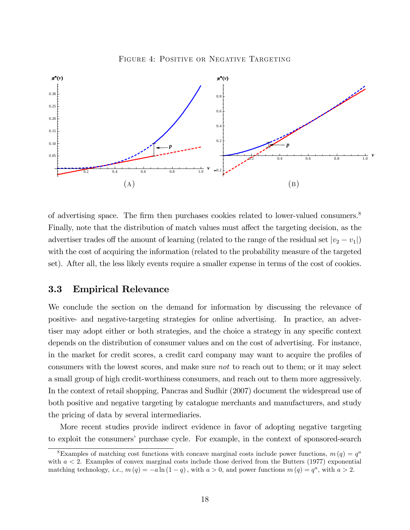FIGURE 4: POSITIVE OR NEGATIVE TARGETING



of advertising space. The firm then purchases cookies related to lower-valued consumers.<sup>8</sup> Finally, note that the distribution of match values must affect the targeting decision, as the advertiser trades off the amount of learning (related to the range of the residual set  $|v_2 - v_1|$ ) with the cost of acquiring the information (related to the probability measure of the targeted set). After all, the less likely events require a smaller expense in terms of the cost of cookies.

### 3.3 Empirical Relevance

We conclude the section on the demand for information by discussing the relevance of positive- and negative-targeting strategies for online advertising. In practice, an advertiser may adopt either or both strategies, and the choice a strategy in any specific context depends on the distribution of consumer values and on the cost of advertising. For instance, in the market for credit scores, a credit card company may want to acquire the profiles of consumers with the lowest scores, and make sure not to reach out to them; or it may select a small group of high credit-worthiness consumers, and reach out to them more aggressively. In the context of retail shopping, Pancras and Sudhir (2007) document the widespread use of both positive and negative targeting by catalogue merchants and manufacturers, and study the pricing of data by several intermediaries.

More recent studies provide indirect evidence in favor of adopting negative targeting to exploit the consumers' purchase cycle. For example, in the context of sponsored-search

<sup>&</sup>lt;sup>8</sup>Examples of matching cost functions with concave marginal costs include power functions,  $m(q) = q<sup>a</sup>$ with  $a < 2$ . Examples of convex marginal costs include those derived from the Butters (1977) exponential matching technology, *i.e.*,  $m(q) = -a \ln(1-q)$ , with  $a > 0$ , and power functions  $m(q) = q^a$ , with  $a > 2$ .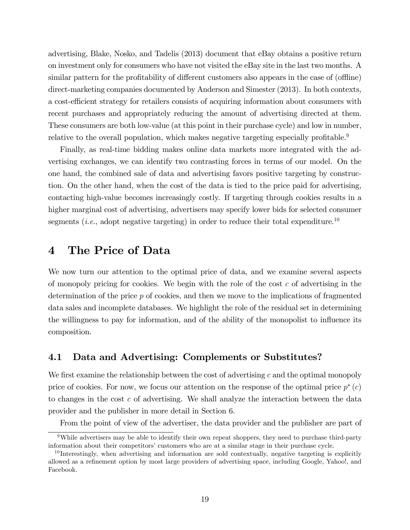advertising, Blake, Nosko, and Tadelis (2013) document that eBay obtains a positive return on investment only for consumers who have not visited the eBay site in the last two months. A similar pattern for the profitability of different customers also appears in the case of (offline) direct-marketing companies documented by Anderson and Simester (2013). In both contexts, a cost-efficient strategy for retailers consists of acquiring information about consumers with recent purchases and appropriately reducing the amount of advertising directed at them. These consumers are both low-value (at this point in their purchase cycle) and low in number, relative to the overall population, which makes negative targeting especially profitable.<sup>9</sup>

Finally, as real-time bidding makes online data markets more integrated with the advertising exchanges, we can identify two contrasting forces in terms of our model. On the one hand, the combined sale of data and advertising favors positive targeting by construction. On the other hand, when the cost of the data is tied to the price paid for advertising, contacting high-value becomes increasingly costly. If targeting through cookies results in a higher marginal cost of advertising, advertisers may specify lower bids for selected consumer segments (*i.e.*, adopt negative targeting) in order to reduce their total expenditure.<sup>10</sup>

## 4 The Price of Data

We now turn our attention to the optimal price of data, and we examine several aspects of monopoly pricing for cookies. We begin with the role of the cost  $c$  of advertising in the determination of the price  $p$  of cookies, and then we move to the implications of fragmented data sales and incomplete databases. We highlight the role of the residual set in determining the willingness to pay for information, and of the ability of the monopolist to influence its composition.

## 4.1 Data and Advertising: Complements or Substitutes?

We first examine the relationship between the cost of advertising  $c$  and the optimal monopoly price of cookies. For now, we focus our attention on the response of the optimal price  $p^*(c)$ to changes in the cost  $c$  of advertising. We shall analyze the interaction between the data provider and the publisher in more detail in Section 6.

From the point of view of the advertiser, the data provider and the publisher are part of

<sup>&</sup>lt;sup>9</sup>While advertisers may be able to identify their own repeat shoppers, they need to purchase third-party information about their competitors' customers who are at a similar stage in their purchase cycle.

<sup>&</sup>lt;sup>10</sup> Interestingly, when advertising and information are sold contextually, negative targeting is explicitly allowed as a refinement option by most large providers of advertising space, including Google, Yahoo!, and Facebook.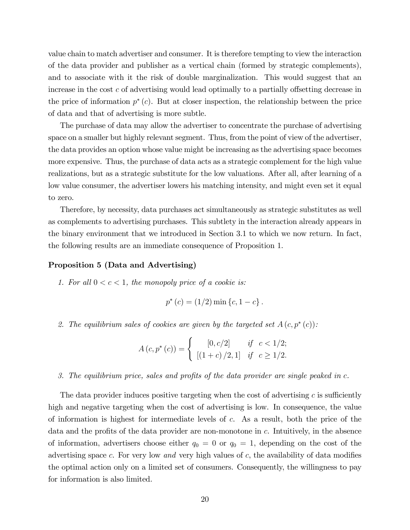value chain to match advertiser and consumer. It is therefore tempting to view the interaction of the data provider and publisher as a vertical chain (formed by strategic complements), and to associate with it the risk of double marginalization. This would suggest that an increase in the cost  $c$  of advertising would lead optimally to a partially offsetting decrease in the price of information  $p^*(c)$ . But at closer inspection, the relationship between the price of data and that of advertising is more subtle.

The purchase of data may allow the advertiser to concentrate the purchase of advertising space on a smaller but highly relevant segment. Thus, from the point of view of the advertiser, the data provides an option whose value might be increasing as the advertising space becomes more expensive. Thus, the purchase of data acts as a strategic complement for the high value realizations, but as a strategic substitute for the low valuations. After all, after learning of a low value consumer, the advertiser lowers his matching intensity, and might even set it equal to zero.

Therefore, by necessity, data purchases act simultaneously as strategic substitutes as well as complements to advertising purchases. This subtlety in the interaction already appears in the binary environment that we introduced in Section 3.1 to which we now return. In fact, the following results are an immediate consequence of Proposition 1.

#### Proposition 5 (Data and Advertising)

1. For all  $0 < c < 1$ , the monopoly price of a cookie is:

$$
p^*(c) = (1/2) \min \{c, 1 - c\}.
$$

2. The equilibrium sales of cookies are given by the targeted set  $A(c, p^*(c))$ :

$$
A(c, p^{*}(c)) = \begin{cases} [0, c/2] & \text{if } c < 1/2; \\ [(1 + c) / 2, 1] & \text{if } c \ge 1/2. \end{cases}
$$

3. The equilibrium price, sales and profits of the data provider are single peaked in  $c$ .

The data provider induces positive targeting when the cost of advertising c is sufficiently high and negative targeting when the cost of advertising is low. In consequence, the value of information is highest for intermediate levels of c. As a result, both the price of the data and the profits of the data provider are non-monotone in  $c$ . Intuitively, in the absence of information, advertisers choose either  $q_0 = 0$  or  $q_0 = 1$ , depending on the cost of the advertising space c. For very low and very high values of  $c$ , the availability of data modifies the optimal action only on a limited set of consumers. Consequently, the willingness to pay for information is also limited.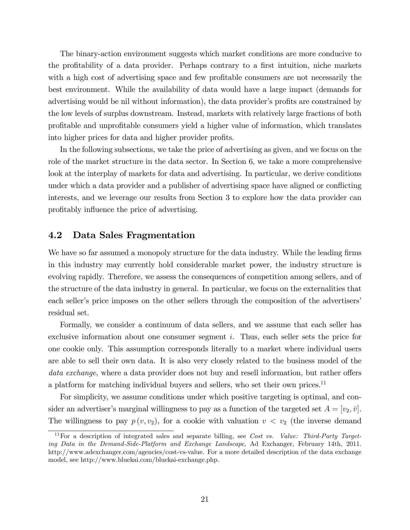The binary-action environment suggests which market conditions are more conducive to the profitability of a data provider. Perhaps contrary to a first intuition, niche markets with a high cost of advertising space and few profitable consumers are not necessarily the best environment. While the availability of data would have a large impact (demands for advertising would be nil without information), the data provider's profits are constrained by the low levels of surplus downstream. Instead, markets with relatively large fractions of both profitable and unprofitable consumers yield a higher value of information, which translates into higher prices for data and higher provider profits.

In the following subsections, we take the price of advertising as given, and we focus on the role of the market structure in the data sector. In Section 6, we take a more comprehensive look at the interplay of markets for data and advertising. In particular, we derive conditions under which a data provider and a publisher of advertising space have aligned or conflicting interests, and we leverage our results from Section 3 to explore how the data provider can profitably influence the price of advertising.

## 4.2 Data Sales Fragmentation

We have so far assumed a monopoly structure for the data industry. While the leading firms in this industry may currently hold considerable market power, the industry structure is evolving rapidly. Therefore, we assess the consequences of competition among sellers, and of the structure of the data industry in general. In particular, we focus on the externalities that each seller's price imposes on the other sellers through the composition of the advertisers' residual set.

Formally, we consider a continuum of data sellers, and we assume that each seller has exclusive information about one consumer segment i. Thus, each seller sets the price for one cookie only. This assumption corresponds literally to a market where individual users are able to sell their own data. It is also very closely related to the business model of the data exchange, where a data provider does not buy and resell information, but rather offers a platform for matching individual buyers and sellers, who set their own prices.<sup>11</sup>

For simplicity, we assume conditions under which positive targeting is optimal, and consider an advertiser's marginal willingness to pay as a function of the targeted set  $A = [v_2, \bar{v}]$ . The willingness to pay  $p(v, v_2)$ , for a cookie with valuation  $v < v_2$  (the inverse demand

<sup>&</sup>lt;sup>11</sup>For a description of integrated sales and separate billing, see Cost vs. Value: Third-Party Targeting Data in the Demand-Side-Platform and Exchange Landscape, Ad Exchanger, February 14th, 2011. http://www.adexchanger.com/agencies/cost-vs-value. For a more detailed description of the data exchange model, see http://www.bluekai.com/bluekai-exchange.php.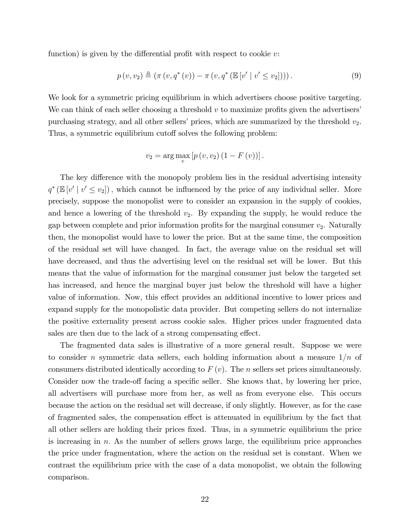function) is given by the differential profit with respect to cookie  $v$ :

$$
p(v, v_2) \triangleq (\pi(v, q^*(v)) - \pi(v, q^*(\mathbb{E}[v' \mid v' \le v_2])))
$$
 (9)

We look for a symmetric pricing equilibrium in which advertisers choose positive targeting. We can think of each seller choosing a threshold  $v$  to maximize profits given the advertisers purchasing strategy, and all other sellers' prices, which are summarized by the threshold  $v_2$ . Thus, a symmetric equilibrium cutoff solves the following problem:

$$
v_2 = \arg \max_{v} [p(v, v_2) (1 - F(v))].
$$

The key difference with the monopoly problem lies in the residual advertising intensity  $q^*$  ( $\mathbb{E}[v' | v' \le v_2]$ ), which cannot be influenced by the price of any individual seller. More precisely, suppose the monopolist were to consider an expansion in the supply of cookies, and hence a lowering of the threshold  $v_2$ . By expanding the supply, he would reduce the gap between complete and prior information profits for the marginal consumer  $v_2$ . Naturally then, the monopolist would have to lower the price. But at the same time, the composition of the residual set will have changed. In fact, the average value on the residual set will have decreased, and thus the advertising level on the residual set will be lower. But this means that the value of information for the marginal consumer just below the targeted set has increased, and hence the marginal buyer just below the threshold will have a higher value of information. Now, this effect provides an additional incentive to lower prices and expand supply for the monopolistic data provider. But competing sellers do not internalize the positive externality present across cookie sales. Higher prices under fragmented data sales are then due to the lack of a strong compensating effect.

The fragmented data sales is illustrative of a more general result. Suppose we were to consider n symmetric data sellers, each holding information about a measure  $1/n$  of consumers distributed identically according to  $F(v)$ . The *n* sellers set prices simultaneously. Consider now the trade-off facing a specific seller. She knows that, by lowering her price, all advertisers will purchase more from her, as well as from everyone else. This occurs because the action on the residual set will decrease, if only slightly. However, as for the case of fragmented sales, the compensation effect is attenuated in equilibrium by the fact that all other sellers are holding their prices Öxed. Thus, in a symmetric equilibrium the price is increasing in  $n$ . As the number of sellers grows large, the equilibrium price approaches the price under fragmentation, where the action on the residual set is constant. When we contrast the equilibrium price with the case of a data monopolist, we obtain the following comparison.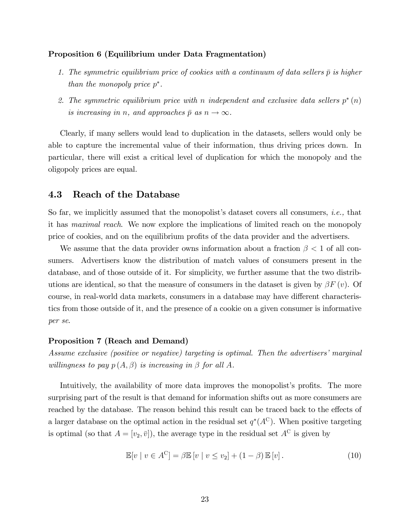#### Proposition 6 (Equilibrium under Data Fragmentation)

- 1. The symmetric equilibrium price of cookies with a continuum of data sellers  $\bar{p}$  is higher than the monopoly price  $p^*$ .
- 2. The symmetric equilibrium price with n independent and exclusive data sellers  $p^*(n)$ is increasing in n, and approaches  $\bar{p}$  as  $n \to \infty$ .

Clearly, if many sellers would lead to duplication in the datasets, sellers would only be able to capture the incremental value of their information, thus driving prices down. In particular, there will exist a critical level of duplication for which the monopoly and the oligopoly prices are equal.

### 4.3 Reach of the Database

So far, we implicitly assumed that the monopolist's dataset covers all consumers, *i.e.*, that it has maximal reach. We now explore the implications of limited reach on the monopoly price of cookies, and on the equilibrium profits of the data provider and the advertisers.

We assume that the data provider owns information about a fraction  $\beta < 1$  of all consumers. Advertisers know the distribution of match values of consumers present in the database, and of those outside of it. For simplicity, we further assume that the two distributions are identical, so that the measure of consumers in the dataset is given by  $\beta F(v)$ . Of course, in real-world data markets, consumers in a database may have different characteristics from those outside of it, and the presence of a cookie on a given consumer is informative per se.

#### Proposition 7 (Reach and Demand)

Assume exclusive (positive or negative) targeting is optimal. Then the advertisers' marginal willingness to pay  $p(A, \beta)$  is increasing in  $\beta$  for all A.

Intuitively, the availability of more data improves the monopolist's profits. The more surprising part of the result is that demand for information shifts out as more consumers are reached by the database. The reason behind this result can be traced back to the effects of a larger database on the optimal action in the residual set  $q^*(A^C)$ . When positive targeting is optimal (so that  $A = [v_2, \bar{v}]$ ), the average type in the residual set  $A^C$  is given by

$$
\mathbb{E}[v \mid v \in A^C] = \beta \mathbb{E}[v \mid v \le v_2] + (1 - \beta) \mathbb{E}[v]. \tag{10}
$$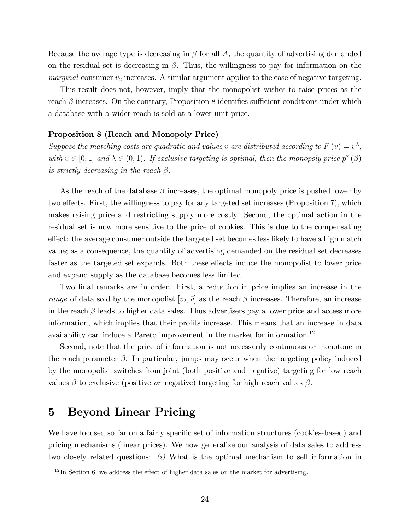Because the average type is decreasing in  $\beta$  for all A, the quantity of advertising demanded on the residual set is decreasing in  $\beta$ . Thus, the willingness to pay for information on the *marginal* consumer  $v_2$  increases. A similar argument applies to the case of negative targeting.

This result does not, however, imply that the monopolist wishes to raise prices as the reach  $\beta$  increases. On the contrary, Proposition 8 identifies sufficient conditions under which a database with a wider reach is sold at a lower unit price.

### Proposition 8 (Reach and Monopoly Price)

Suppose the matching costs are quadratic and values v are distributed according to  $F(v) = v^{\lambda}$ , with  $v \in [0, 1]$  and  $\lambda \in (0, 1)$ . If exclusive targeting is optimal, then the monopoly price  $p^*(\beta)$ is strictly decreasing in the reach  $\beta$ .

As the reach of the database  $\beta$  increases, the optimal monopoly price is pushed lower by two effects. First, the willingness to pay for any targeted set increases (Proposition 7), which makes raising price and restricting supply more costly. Second, the optimal action in the residual set is now more sensitive to the price of cookies. This is due to the compensating effect: the average consumer outside the targeted set becomes less likely to have a high match value; as a consequence, the quantity of advertising demanded on the residual set decreases faster as the targeted set expands. Both these effects induce the monopolist to lower price and expand supply as the database becomes less limited.

Two final remarks are in order. First, a reduction in price implies an increase in the range of data sold by the monopolist  $[v_2, \bar{v}]$  as the reach  $\beta$  increases. Therefore, an increase in the reach  $\beta$  leads to higher data sales. Thus advertisers pay a lower price and access more information, which implies that their profits increase. This means that an increase in data availability can induce a Pareto improvement in the market for information.<sup>12</sup>

Second, note that the price of information is not necessarily continuous or monotone in the reach parameter  $\beta$ . In particular, jumps may occur when the targeting policy induced by the monopolist switches from joint (both positive and negative) targeting for low reach values  $\beta$  to exclusive (positive *or* negative) targeting for high reach values  $\beta$ .

## 5 Beyond Linear Pricing

We have focused so far on a fairly specific set of information structures (cookies-based) and pricing mechanisms (linear prices). We now generalize our analysis of data sales to address two closely related questions:  $(i)$  What is the optimal mechanism to sell information in

 $12 \text{ In Section 6, we address the effect of higher data sales on the market for advertising.}$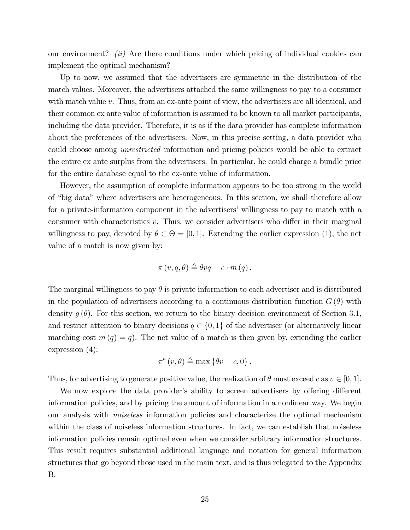our environment? *(ii)* Are there conditions under which pricing of individual cookies can implement the optimal mechanism?

Up to now, we assumed that the advertisers are symmetric in the distribution of the match values. Moreover, the advertisers attached the same willingness to pay to a consumer with match value v. Thus, from an ex-ante point of view, the advertisers are all identical, and their common ex ante value of information is assumed to be known to all market participants, including the data provider. Therefore, it is as if the data provider has complete information about the preferences of the advertisers. Now, in this precise setting, a data provider who could choose among unrestricted information and pricing policies would be able to extract the entire ex ante surplus from the advertisers. In particular, he could charge a bundle price for the entire database equal to the ex-ante value of information.

However, the assumption of complete information appears to be too strong in the world of "big data" where advertisers are heterogeneous. In this section, we shall therefore allow for a private-information component in the advertisers' willingness to pay to match with a consumer with characteristics  $v$ . Thus, we consider advertisers who differ in their marginal willingness to pay, denoted by  $\theta \in \Theta = [0, 1]$ . Extending the earlier expression (1), the net value of a match is now given by:

$$
\pi(v,q,\theta) \triangleq \theta vq - c \cdot m(q).
$$

The marginal willingness to pay  $\theta$  is private information to each advertiser and is distributed in the population of advertisers according to a continuous distribution function  $G(\theta)$  with density  $q(\theta)$ . For this section, we return to the binary decision environment of Section 3.1, and restrict attention to binary decisions  $q \in \{0, 1\}$  of the advertiser (or alternatively linear matching cost  $m(q) = q$ . The net value of a match is then given by, extending the earlier expression (4):

$$
\pi^*(v,\theta) \triangleq \max\left\{\theta v - c, 0\right\}.
$$

Thus, for advertising to generate positive value, the realization of  $\theta$  must exceed c as  $v \in [0, 1]$ .

We now explore the data provider's ability to screen advertisers by offering different information policies, and by pricing the amount of information in a nonlinear way. We begin our analysis with noiseless information policies and characterize the optimal mechanism within the class of noiseless information structures. In fact, we can establish that noiseless information policies remain optimal even when we consider arbitrary information structures. This result requires substantial additional language and notation for general information structures that go beyond those used in the main text, and is thus relegated to the Appendix B.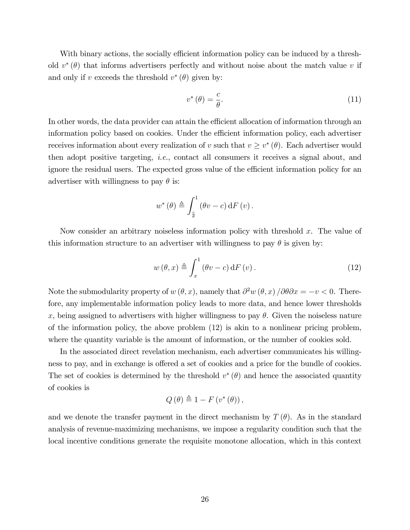With binary actions, the socially efficient information policy can be induced by a threshold  $v^*(\theta)$  that informs advertisers perfectly and without noise about the match value v if and only if v exceeds the threshold  $v^*(\theta)$  given by:

$$
v^*(\theta) = \frac{c}{\theta}.\tag{11}
$$

In other words, the data provider can attain the efficient allocation of information through an information policy based on cookies. Under the efficient information policy, each advertiser receives information about every realization of v such that  $v \geq v^*(\theta)$ . Each advertiser would then adopt positive targeting, i.e., contact all consumers it receives a signal about, and ignore the residual users. The expected gross value of the efficient information policy for an advertiser with willingness to pay  $\theta$  is:

$$
w^{\ast}\left(\theta\right) \triangleq \int_{\frac{c}{\theta}}^{1}\left(\theta v - c\right)\mathrm{d}F\left(v\right).
$$

Now consider an arbitrary noiseless information policy with threshold  $x$ . The value of this information structure to an advertiser with willingness to pay  $\theta$  is given by:

$$
w(\theta, x) \triangleq \int_{x}^{1} (\theta v - c) dF(v).
$$
 (12)

Note the submodularity property of  $w(\theta, x)$ , namely that  $\partial^2 w(\theta, x) / \partial \theta \partial x = -v < 0$ . Therefore, any implementable information policy leads to more data, and hence lower thresholds x, being assigned to advertisers with higher willingness to pay  $\theta$ . Given the noiseless nature of the information policy, the above problem  $(12)$  is akin to a nonlinear pricing problem, where the quantity variable is the amount of information, or the number of cookies sold.

In the associated direct revelation mechanism, each advertiser communicates his willingness to pay, and in exchange is offered a set of cookies and a price for the bundle of cookies. The set of cookies is determined by the threshold  $v^*(\theta)$  and hence the associated quantity of cookies is

$$
Q(\theta) \triangleq 1 - F(v^*(\theta)),
$$

and we denote the transfer payment in the direct mechanism by  $T(\theta)$ . As in the standard analysis of revenue-maximizing mechanisms, we impose a regularity condition such that the local incentive conditions generate the requisite monotone allocation, which in this context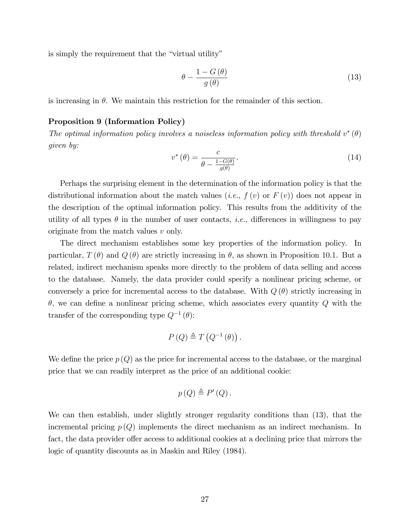is simply the requirement that the "virtual utility"

$$
\theta - \frac{1 - G\left(\theta\right)}{g\left(\theta\right)}\tag{13}
$$

is increasing in  $\theta$ . We maintain this restriction for the remainder of this section.

### Proposition 9 (Information Policy)

The optimal information policy involves a noiseless information policy with threshold  $v^*(\theta)$ given by:

$$
v^*(\theta) = \frac{c}{\theta - \frac{1 - G(\theta)}{g(\theta)}}.
$$
\n(14)

Perhaps the surprising element in the determination of the information policy is that the distributional information about the match values (*i.e.*,  $f(v)$  or  $F(v)$ ) does not appear in the description of the optimal information policy. This results from the additivity of the utility of all types  $\theta$  in the number of user contacts, *i.e.*, differences in willingness to pay originate from the match values v only.

The direct mechanism establishes some key properties of the information policy. In particular,  $T(\theta)$  and  $Q(\theta)$  are strictly increasing in  $\theta$ , as shown in Proposition 10.1. But a related, indirect mechanism speaks more directly to the problem of data selling and access to the database. Namely, the data provider could specify a nonlinear pricing scheme, or conversely a price for incremental access to the database. With  $Q(\theta)$  strictly increasing in  $\theta$ , we can define a nonlinear pricing scheme, which associates every quantity  $Q$  with the transfer of the corresponding type  $Q^{-1}(\theta)$ :

$$
P(Q) \triangleq T(Q^{-1}(\theta)).
$$

We define the price  $p(Q)$  as the price for incremental access to the database, or the marginal price that we can readily interpret as the price of an additional cookie:

$$
p(Q) \triangleq P'(Q).
$$

We can then establish, under slightly stronger regularity conditions than (13), that the incremental pricing  $p(Q)$  implements the direct mechanism as an indirect mechanism. In fact, the data provider offer access to additional cookies at a declining price that mirrors the logic of quantity discounts as in Maskin and Riley (1984).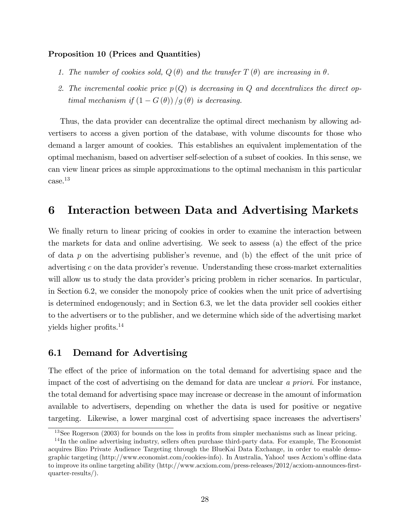### Proposition 10 (Prices and Quantities)

- 1. The number of cookies sold,  $Q(\theta)$  and the transfer  $T(\theta)$  are increasing in  $\theta$ .
- 2. The incremental cookie price  $p(Q)$  is decreasing in Q and decentralizes the direct optimal mechanism if  $(1 - G(\theta)) / g(\theta)$  is decreasing.

Thus, the data provider can decentralize the optimal direct mechanism by allowing advertisers to access a given portion of the database, with volume discounts for those who demand a larger amount of cookies. This establishes an equivalent implementation of the optimal mechanism, based on advertiser self-selection of a subset of cookies. In this sense, we can view linear prices as simple approximations to the optimal mechanism in this particular case.<sup>13</sup>

## 6 Interaction between Data and Advertising Markets

We finally return to linear pricing of cookies in order to examine the interaction between the markets for data and online advertising. We seek to assess (a) the effect of the price of data  $p$  on the advertising publisher's revenue, and (b) the effect of the unit price of advertising  $c$  on the data provider's revenue. Understanding these cross-market externalities will allow us to study the data provider's pricing problem in richer scenarios. In particular, in Section 6.2, we consider the monopoly price of cookies when the unit price of advertising is determined endogenously; and in Section 6.3, we let the data provider sell cookies either to the advertisers or to the publisher, and we determine which side of the advertising market yields higher profits. $^{14}$ 

## 6.1 Demand for Advertising

The effect of the price of information on the total demand for advertising space and the impact of the cost of advertising on the demand for data are unclear a priori. For instance, the total demand for advertising space may increase or decrease in the amount of information available to advertisers, depending on whether the data is used for positive or negative targeting. Likewise, a lower marginal cost of advertising space increases the advertisers'

 $13$ See Rogerson (2003) for bounds on the loss in profits from simpler mechanisms such as linear pricing.

 $14$ In the online advertising industry, sellers often purchase third-party data. For example, The Economist acquires Bizo Private Audience Targeting through the BlueKai Data Exchange, in order to enable demographic targeting (http://www.economist.com/cookies-info). In Australia, Yahoo! uses Acxiom's offline data to improve its online targeting ability (http://www.acxiom.com/press-releases/2012/acxiom-announces-firstquarter-results/).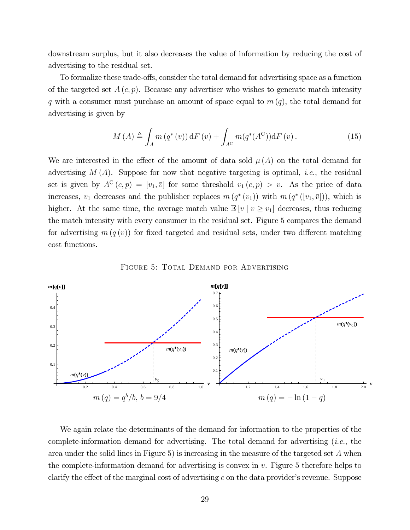downstream surplus, but it also decreases the value of information by reducing the cost of advertising to the residual set.

To formalize these trade-offs, consider the total demand for advertising space as a function of the targeted set  $A(c, p)$ . Because any advertiser who wishes to generate match intensity q with a consumer must purchase an amount of space equal to  $m(q)$ , the total demand for advertising is given by

$$
M(A) \triangleq \int_{A} m(q^*(v)) dF(v) + \int_{A^C} m(q^*(A^C)) dF(v).
$$
 (15)

We are interested in the effect of the amount of data sold  $\mu(A)$  on the total demand for advertising  $M(A)$ . Suppose for now that negative targeting is optimal, *i.e.*, the residual set is given by  $A^C(c, p) = [v_1, \bar{v}]$  for some threshold  $v_1(c, p) > \underline{v}$ . As the price of data increases,  $v_1$  decreases and the publisher replaces  $m(q^*(v_1))$  with  $m(q^*([v_1,\bar{v}]))$ , which is higher. At the same time, the average match value  $\mathbb{E}[v \mid v \ge v_1]$  decreases, thus reducing the match intensity with every consumer in the residual set. Figure 5 compares the demand for advertising  $m(q(v))$  for fixed targeted and residual sets, under two different matching cost functions.

FIGURE 5: TOTAL DEMAND FOR ADVERTISING



We again relate the determinants of the demand for information to the properties of the complete-information demand for advertising. The total demand for advertising  $(i.e.,$  the area under the solid lines in Figure 5) is increasing in the measure of the targeted set  $A$  when the complete-information demand for advertising is convex in  $v$ . Figure 5 therefore helps to clarify the effect of the marginal cost of advertising c on the data provider's revenue. Suppose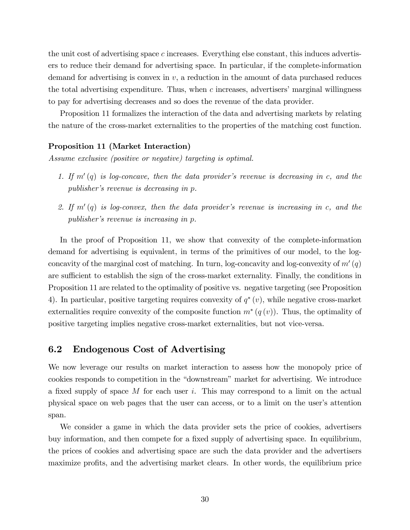the unit cost of advertising space c increases. Everything else constant, this induces advertisers to reduce their demand for advertising space. In particular, if the complete-information demand for advertising is convex in  $v$ , a reduction in the amount of data purchased reduces the total advertising expenditure. Thus, when  $c$  increases, advertisers' marginal willingness to pay for advertising decreases and so does the revenue of the data provider.

Proposition 11 formalizes the interaction of the data and advertising markets by relating the nature of the cross-market externalities to the properties of the matching cost function.

#### Proposition 11 (Market Interaction)

Assume exclusive (positive or negative) targeting is optimal.

- 1. If  $m'(q)$  is log-concave, then the data provider's revenue is decreasing in c, and the publisher's revenue is decreasing in p.
- 2. If  $m'(q)$  is log-convex, then the data provider's revenue is increasing in c, and the publisher's revenue is increasing in p.

In the proof of Proposition 11, we show that convexity of the complete-information demand for advertising is equivalent, in terms of the primitives of our model, to the logconcavity of the marginal cost of matching. In turn, log-concavity and log-convexity of  $m'(q)$ are sufficient to establish the sign of the cross-market externality. Finally, the conditions in Proposition 11 are related to the optimality of positive vs. negative targeting (see Proposition 4). In particular, positive targeting requires convexity of  $q^*(v)$ , while negative cross-market externalities require convexity of the composite function  $m^*(q(v))$ . Thus, the optimality of positive targeting implies negative cross-market externalities, but not vice-versa.

### 6.2 Endogenous Cost of Advertising

We now leverage our results on market interaction to assess how the monopoly price of cookies responds to competition in the "downstream" market for advertising. We introduce a fixed supply of space M for each user i. This may correspond to a limit on the actual physical space on web pages that the user can access, or to a limit on the user's attention span.

We consider a game in which the data provider sets the price of cookies, advertisers buy information, and then compete for a fixed supply of advertising space. In equilibrium, the prices of cookies and advertising space are such the data provider and the advertisers maximize profits, and the advertising market clears. In other words, the equilibrium price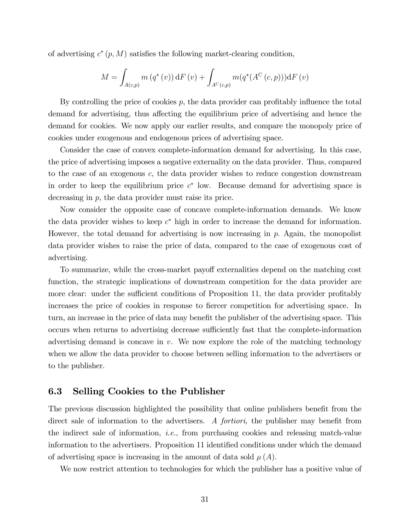of advertising  $c^*(p,M)$  satisfies the following market-clearing condition,

$$
M = \int_{A(c,p)} m(q^*(v)) dF(v) + \int_{A^C(c,p)} m(q^*(A^C(c,p))) dF(v)
$$

By controlling the price of cookies  $p$ , the data provider can profitably influence the total demand for advertising, thus affecting the equilibrium price of advertising and hence the demand for cookies. We now apply our earlier results, and compare the monopoly price of cookies under exogenous and endogenous prices of advertising space.

Consider the case of convex complete-information demand for advertising. In this case, the price of advertising imposes a negative externality on the data provider. Thus, compared to the case of an exogenous c, the data provider wishes to reduce congestion downstream in order to keep the equilibrium price  $c^*$  low. Because demand for advertising space is decreasing in p, the data provider must raise its price.

Now consider the opposite case of concave complete-information demands. We know the data provider wishes to keep  $c^*$  high in order to increase the demand for information. However, the total demand for advertising is now increasing in  $p$ . Again, the monopolist data provider wishes to raise the price of data, compared to the case of exogenous cost of advertising.

To summarize, while the cross-market payoff externalities depend on the matching cost function, the strategic implications of downstream competition for the data provider are more clear: under the sufficient conditions of Proposition 11, the data provider profitably increases the price of cookies in response to fiercer competition for advertising space. In turn, an increase in the price of data may benefit the publisher of the advertising space. This occurs when returns to advertising decrease sufficiently fast that the complete-information advertising demand is concave in  $v$ . We now explore the role of the matching technology when we allow the data provider to choose between selling information to the advertisers or to the publisher.

## 6.3 Selling Cookies to the Publisher

The previous discussion highlighted the possibility that online publishers benefit from the direct sale of information to the advertisers. A *fortiori*, the publisher may benefit from the indirect sale of information, *i.e.*, from purchasing cookies and releasing match-value information to the advertisers. Proposition 11 identified conditions under which the demand of advertising space is increasing in the amount of data sold  $\mu(A)$ .

We now restrict attention to technologies for which the publisher has a positive value of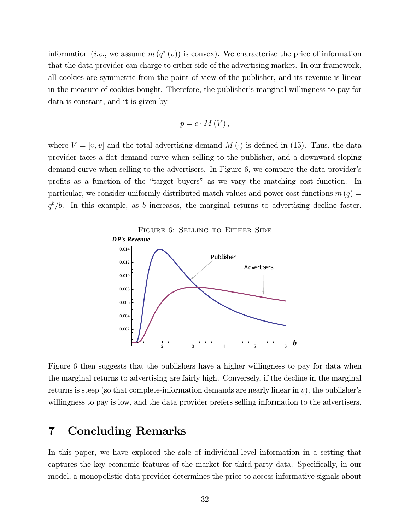information (*i.e.*, we assume  $m(q^*(v))$  is convex). We characterize the price of information that the data provider can charge to either side of the advertising market. In our framework, all cookies are symmetric from the point of view of the publisher, and its revenue is linear in the measure of cookies bought. Therefore, the publisher's marginal willingness to pay for data is constant, and it is given by

$$
p=c\cdot M(V)\,,
$$

where  $V = [\underline{v}, \overline{v}]$  and the total advertising demand  $M(\cdot)$  is defined in (15). Thus, the data provider faces a áat demand curve when selling to the publisher, and a downward-sloping demand curve when selling to the advertisers. In Figure 6, we compare the data provider's profits as a function of the "target buyers" as we vary the matching cost function. In particular, we consider uniformly distributed match values and power cost functions  $m(q)$  $q^b/b$ . In this example, as b increases, the marginal returns to advertising decline faster.



Figure 6 then suggests that the publishers have a higher willingness to pay for data when the marginal returns to advertising are fairly high. Conversely, if the decline in the marginal returns is steep (so that complete-information demands are nearly linear in  $v$ ), the publisher's willingness to pay is low, and the data provider prefers selling information to the advertisers.

## 7 Concluding Remarks

In this paper, we have explored the sale of individual-level information in a setting that captures the key economic features of the market for third-party data. Specifically, in our model, a monopolistic data provider determines the price to access informative signals about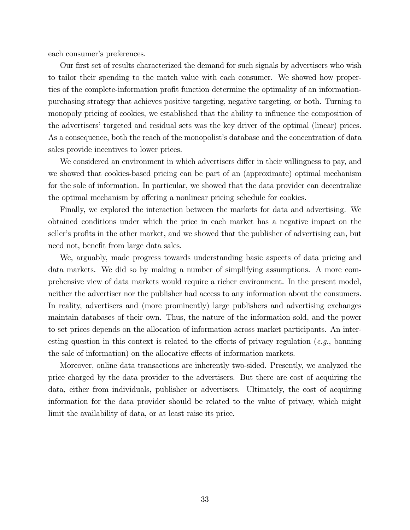each consumer's preferences.

Our first set of results characterized the demand for such signals by advertisers who wish to tailor their spending to the match value with each consumer. We showed how properties of the complete-information profit function determine the optimality of an informationpurchasing strategy that achieves positive targeting, negative targeting, or both. Turning to monopoly pricing of cookies, we established that the ability to influence the composition of the advertisers' targeted and residual sets was the key driver of the optimal (linear) prices. As a consequence, both the reach of the monopolist's database and the concentration of data sales provide incentives to lower prices.

We considered an environment in which advertisers differ in their willingness to pay, and we showed that cookies-based pricing can be part of an (approximate) optimal mechanism for the sale of information. In particular, we showed that the data provider can decentralize the optimal mechanism by offering a nonlinear pricing schedule for cookies.

Finally, we explored the interaction between the markets for data and advertising. We obtained conditions under which the price in each market has a negative impact on the seller's profits in the other market, and we showed that the publisher of advertising can, but need not, benefit from large data sales.

We, arguably, made progress towards understanding basic aspects of data pricing and data markets. We did so by making a number of simplifying assumptions. A more comprehensive view of data markets would require a richer environment. In the present model, neither the advertiser nor the publisher had access to any information about the consumers. In reality, advertisers and (more prominently) large publishers and advertising exchanges maintain databases of their own. Thus, the nature of the information sold, and the power to set prices depends on the allocation of information across market participants. An interesting question in this context is related to the effects of privacy regulation (e.g., banning the sale of information) on the allocative effects of information markets.

Moreover, online data transactions are inherently two-sided. Presently, we analyzed the price charged by the data provider to the advertisers. But there are cost of acquiring the data, either from individuals, publisher or advertisers. Ultimately, the cost of acquiring information for the data provider should be related to the value of privacy, which might limit the availability of data, or at least raise its price.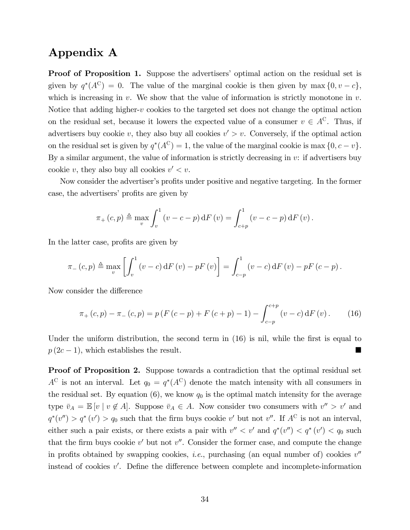## Appendix A

**Proof of Proposition 1.** Suppose the advertisers' optimal action on the residual set is given by  $q^*(A^C) = 0$ . The value of the marginal cookie is then given by max  $\{0, v - c\}$ , which is increasing in  $v$ . We show that the value of information is strictly monotone in  $v$ . Notice that adding higher-v cookies to the targeted set does not change the optimal action on the residual set, because it lowers the expected value of a consumer  $v \in A^C$ . Thus, if advertisers buy cookie v, they also buy all cookies  $v' > v$ . Conversely, if the optimal action on the residual set is given by  $q^*(A^C) = 1$ , the value of the marginal cookie is max  $\{0, c - v\}$ . By a similar argument, the value of information is strictly decreasing in  $v$ : if advertisers buy cookie v, they also buy all cookies  $v' < v$ .

Now consider the advertiser's profits under positive and negative targeting. In the former case, the advertisers' profits are given by

$$
\pi_{+}(c,p) \triangleq \max_{v} \int_{v}^{1} (v - c - p) dF(v) = \int_{c+p}^{1} (v - c - p) dF(v).
$$

In the latter case, profits are given by

$$
\pi_{-}(c,p) \triangleq \max_{v} \left[ \int_{v}^{1} \left( v - c \right) dF \left( v \right) - pF \left( v \right) \right] = \int_{c-p}^{1} \left( v - c \right) dF \left( v \right) - pF \left( c - p \right).
$$

Now consider the difference

$$
\pi_{+}(c,p) - \pi_{-}(c,p) = p(F(c-p) + F(c+p) - 1) - \int_{c-p}^{c+p} (v-c) dF(v).
$$
 (16)

Under the uniform distribution, the second term in  $(16)$  is nil, while the first is equal to  $p(2c-1)$ , which establishes the result.

Proof of Proposition 2. Suppose towards a contradiction that the optimal residual set  $A^C$  is not an interval. Let  $q_0 = q^*(A^C)$  denote the match intensity with all consumers in the residual set. By equation  $(6)$ , we know  $q_0$  is the optimal match intensity for the average type  $\bar{v}_A = \mathbb{E}[v \mid v \notin A]$ . Suppose  $\bar{v}_A \in A$ . Now consider two consumers with  $v'' > v'$  and  $q^*(v'') > q^*(v') > q_0$  such that the firm buys cookie v' but not v''. If  $A^C$  is not an interval, either such a pair exists, or there exists a pair with  $v'' < v'$  and  $q^*(v'') < q^*(v') < q_0$  such that the firm buys cookie  $v'$  but not  $v''$ . Consider the former case, and compute the change in profits obtained by swapping cookies, *i.e.*, purchasing (an equal number of) cookies  $v''$ instead of cookies  $v'$ . Define the difference between complete and incomplete-information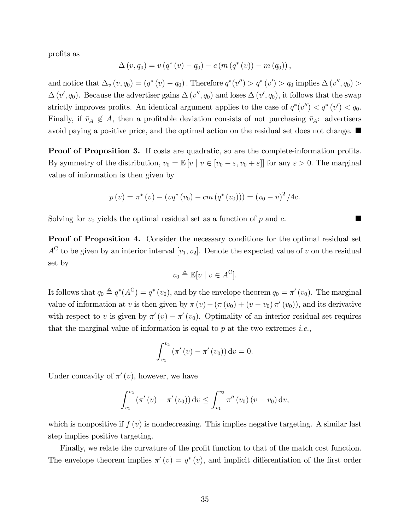profits as

$$
\Delta(v, q_0) = v (q^*(v) - q_0) - c (m (q^*(v)) - m (q_0)),
$$

and notice that  $\Delta_v (v, q_0) = (q^* (v) - q_0)$ . Therefore  $q^* (v'') > q^* (v') > q_0$  implies  $\Delta(v'', q_0) >$  $\Delta(v', q_0)$ . Because the advertiser gains  $\Delta(v'', q_0)$  and loses  $\Delta(v', q_0)$ , it follows that the swap strictly improves profits. An identical argument applies to the case of  $q^*(v'') < q^*(v') < q_0$ . Finally, if  $\bar{v}_A \notin A$ , then a profitable deviation consists of not purchasing  $\bar{v}_A$ : advertisers avoid paying a positive price, and the optimal action on the residual set does not change.

**Proof of Proposition 3.** If costs are quadratic, so are the complete-information profits. By symmetry of the distribution,  $v_0 = \mathbb{E}[v \mid v \in [v_0 - \varepsilon, v_0 + \varepsilon]]$  for any  $\varepsilon > 0$ . The marginal value of information is then given by

$$
p(v) = \pi^*(v) - (vq^*(v_0) - cm (q^*(v_0))) = (v_0 - v)^2 / 4c.
$$

Solving for  $v_0$  yields the optimal residual set as a function of p and c.

Proof of Proposition 4. Consider the necessary conditions for the optimal residual set  $A^C$  to be given by an interior interval  $[v_1, v_2]$ . Denote the expected value of v on the residual set by

$$
v_0 \triangleq \mathbb{E}[v \mid v \in A^C].
$$

It follows that  $q_0 \triangleq q^*(A^C) = q^*(v_0)$ , and by the envelope theorem  $q_0 = \pi'(v_0)$ . The marginal value of information at v is then given by  $\pi(v) - (\pi(v_0) + (v - v_0)\pi'(v_0))$ , and its derivative with respect to v is given by  $\pi'(v) - \pi'(v_0)$ . Optimality of an interior residual set requires that the marginal value of information is equal to p at the two extremes *i.e.*,

$$
\int_{v_1}^{v_2} (\pi'(v) - \pi'(v_0)) dv = 0.
$$

Under concavity of  $\pi'(v)$ , however, we have

$$
\int_{v_1}^{v_2} (\pi'(v) - \pi'(v_0)) dv \le \int_{v_1}^{v_2} \pi''(v_0) (v - v_0) dv,
$$

which is nonpositive if  $f(v)$  is nondecreasing. This implies negative targeting. A similar last step implies positive targeting.

Finally, we relate the curvature of the profit function to that of the match cost function. The envelope theorem implies  $\pi'(v) = q^*(v)$ , and implicit differentiation of the first order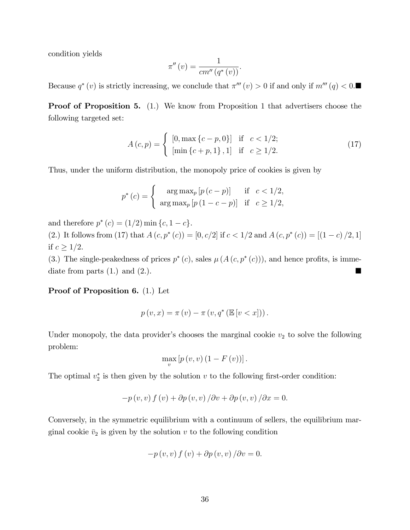condition yields

$$
\pi''(v) = \frac{1}{cm''(q^*(v))}.
$$

Because  $q^*(v)$  is strictly increasing, we conclude that  $\pi'''(v) > 0$  if and only if  $m'''(q) < 0$ .

**Proof of Proposition 5.** (1.) We know from Proposition 1 that advertisers choose the following targeted set:

$$
A(c,p) = \begin{cases} [0, \max\{c-p, 0\}] & \text{if } c < 1/2; \\ [\min\{c+p, 1\}, 1] & \text{if } c \ge 1/2. \end{cases}
$$
(17)

Thus, under the uniform distribution, the monopoly price of cookies is given by

$$
p^*(c) = \begin{cases} \arg \max_p [p(c-p)] & \text{if } c < 1/2, \\ \arg \max_p [p(1-c-p)] & \text{if } c \ge 1/2, \end{cases}
$$

and therefore  $p^*(c) = (1/2) \min\{c, 1-c\}.$ 

(2.) It follows from (17) that  $A(c, p^*(c)) = [0, c/2]$  if  $c < 1/2$  and  $A(c, p^*(c)) = [(1 - c)/2, 1]$ if  $c \geq 1/2$ .

(3.) The single-peakedness of prices  $p^*(c)$ , sales  $\mu(A(c, p^*(c)))$ , and hence profits, is immediate from parts  $(1)$  and  $(2)$ .

#### Proof of Proposition 6. (1.) Let

$$
p(v,x) = \pi(v) - \pi(v,q^*(\mathbb{E}[v < x]))
$$

Under monopoly, the data provider's chooses the marginal cookie  $v_2$  to solve the following problem:

$$
\max_{v}\left[p\left(v,v\right)\left(1-F\left(v\right)\right)\right].
$$

The optimal  $v_2^*$  is then given by the solution v to the following first-order condition:

$$
-p(v, v) f(v) + \partial p(v, v) / \partial v + \partial p(v, v) / \partial x = 0.
$$

Conversely, in the symmetric equilibrium with a continuum of sellers, the equilibrium marginal cookie  $\bar{v}_2$  is given by the solution v to the following condition

$$
-p(v, v) f(v) + \partial p(v, v) / \partial v = 0.
$$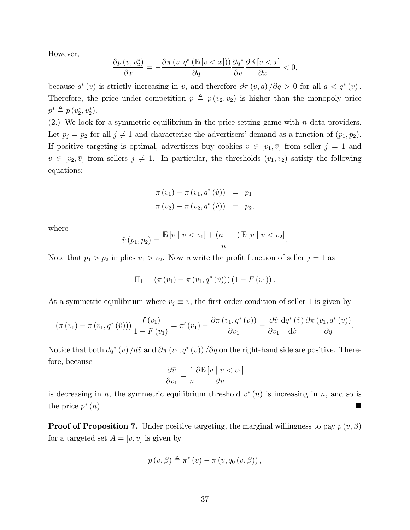However,

$$
\frac{\partial p(v, v_2^*)}{\partial x} = -\frac{\partial \pi(v, q^* \left(\mathbb{E}\left[v < x\right]\right))}{\partial q} \frac{\partial q^*}{\partial v} \frac{\partial \mathbb{E}\left[v < x\right]}{\partial x} < 0,
$$

because  $q^*(v)$  is strictly increasing in v, and therefore  $\partial \pi(v,q)/\partial q > 0$  for all  $q < q^*(v)$ . Therefore, the price under competition  $\bar{p} \triangleq p(\bar{v}_2, \bar{v}_2)$  is higher than the monopoly price  $p^* \triangleq p(v_2^*, v_2^*).$ 

(2.) We look for a symmetric equilibrium in the price-setting game with  $n$  data providers. Let  $p_j = p_2$  for all  $j \neq 1$  and characterize the advertisers' demand as a function of  $(p_1, p_2)$ . If positive targeting is optimal, advertisers buy cookies  $v \in [v_1, \bar{v}]$  from seller  $j = 1$  and  $v \in [v_2, \bar{v}]$  from sellers  $j \neq 1$ . In particular, the thresholds  $(v_1, v_2)$  satisfy the following equations:

$$
\pi(v_1) - \pi(v_1, q^*(\hat{v})) = p_1 \n\pi(v_2) - \pi(v_2, q^*(\hat{v})) = p_2,
$$

where

$$
\hat{v}(p_1, p_2) = \frac{\mathbb{E}[v \mid v < v_1] + (n-1) \mathbb{E}[v \mid v < v_2]}{n}.
$$

Note that  $p_1 > p_2$  implies  $v_1 > v_2$ . Now rewrite the profit function of seller  $j = 1$  as

$$
\Pi_1 = (\pi(v_1) - \pi(v_1, q^*(\hat{v}))) (1 - F(v_1)).
$$

At a symmetric equilibrium where  $v_j \equiv v$ , the first-order condition of seller 1 is given by

$$
\left(\pi(v_1)-\pi(v_1,q^*(\hat{v}))\right)\frac{f(v_1)}{1-F(v_1)}=\pi'(v_1)-\frac{\partial\pi(v_1,q^*(v))}{\partial v_1}-\frac{\partial\hat{v}}{\partial v_1}\frac{\mathrm{d}q^*(\hat{v})}{\mathrm{d}\hat{v}}\frac{\partial\pi(v_1,q^*(v))}{\partial q}.
$$

Notice that both  $dq^*(\hat{v}) / d\hat{v}$  and  $\partial \pi (v_1, q^*(v)) / \partial q$  on the right-hand side are positive. Therefore, because

$$
\frac{\partial \bar{v}}{\partial v_1} = \frac{1}{n} \frac{\partial \mathbb{E}[v \mid v < v_1]}{\partial v}
$$

is decreasing in n, the symmetric equilibrium threshold  $v^*(n)$  is increasing in n, and so is the price  $p^*$ (n).

**Proof of Proposition 7.** Under positive targeting, the marginal willingness to pay  $p(v, \beta)$ for a targeted set  $A = [v, \bar{v}]$  is given by

$$
p(v, \beta) \triangleq \pi^*(v) - \pi(v, q_0(v, \beta)),
$$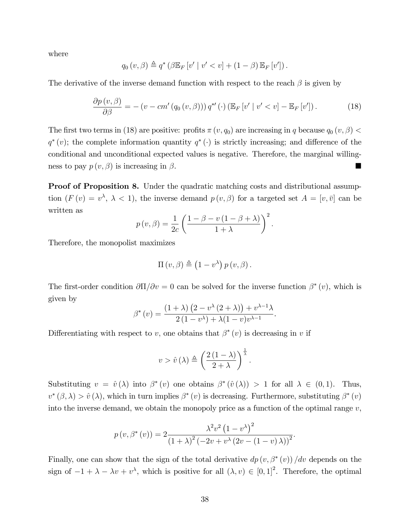where

$$
q_0(v,\beta) \triangleq q^* \left(\beta \mathbb{E}_F[v' \mid v' < v] + (1-\beta) \mathbb{E}_F[v']\right).
$$

The derivative of the inverse demand function with respect to the reach  $\beta$  is given by

$$
\frac{\partial p(v,\beta)}{\partial \beta} = -\left(v - cm'\left(q_0\left(v,\beta\right)\right)\right)q^{*'}\left(\cdot\right)\left(\mathbb{E}_F\left[v'\mid v' < v\right] - \mathbb{E}_F\left[v'\right]\right). \tag{18}
$$

The first two terms in (18) are positive: profits  $\pi(v, q_0)$  are increasing in q because  $q_0(v, \beta)$  <  $q^*(v)$ ; the complete information quantity  $q^*(\cdot)$  is strictly increasing; and difference of the conditional and unconditional expected values is negative. Therefore, the marginal willingness to pay  $p(v, \beta)$  is increasing in  $\beta$ .

Proof of Proposition 8. Under the quadratic matching costs and distributional assumption  $(F(v) = v^{\lambda}, \lambda < 1)$ , the inverse demand  $p(v, \beta)$  for a targeted set  $A = [v, \bar{v}]$  can be written as

$$
p(v, \beta) = \frac{1}{2c} \left( \frac{1 - \beta - v(1 - \beta + \lambda)}{1 + \lambda} \right)^2.
$$

Therefore, the monopolist maximizes

$$
\Pi(v,\beta) \triangleq (1-v^{\lambda}) p(v,\beta).
$$

The first-order condition  $\partial\Pi/\partial v = 0$  can be solved for the inverse function  $\beta^*(v)$ , which is given by

$$
\beta^*(v) = \frac{(1+\lambda)\left(2 - v^{\lambda}(2+\lambda)\right) + v^{\lambda-1}\lambda}{2(1 - v^{\lambda}) + \lambda(1 - v)v^{\lambda-1}}.
$$

Differentiating with respect to v, one obtains that  $\beta^*(v)$  is decreasing in v if

$$
v > \hat{v}(\lambda) \triangleq \left(\frac{2(1-\lambda)}{2+\lambda}\right)^{\frac{1}{\lambda}}.
$$

Substituting  $v = \hat{v}(\lambda)$  into  $\beta^*(v)$  one obtains  $\beta^*(\hat{v}(\lambda)) > 1$  for all  $\lambda \in (0,1)$ . Thus,  $v^*(\beta,\lambda) > \hat{v}(\lambda)$ , which in turn implies  $\beta^*(v)$  is decreasing. Furthermore, substituting  $\beta^*(v)$ into the inverse demand, we obtain the monopoly price as a function of the optimal range  $v$ ,

$$
p(v, \beta^{*}(v)) = 2 \frac{\lambda^{2} v^{2} (1 - v^{\lambda})^{2}}{(1 + \lambda)^{2} (-2v + v^{\lambda} (2v - (1 - v) \lambda))^{2}}.
$$

Finally, one can show that the sign of the total derivative  $dp(v, \beta^*(v))/dv$  depends on the sign of  $-1 + \lambda - \lambda v + v^{\lambda}$ , which is positive for all  $(\lambda, v) \in [0, 1]^2$ . Therefore, the optimal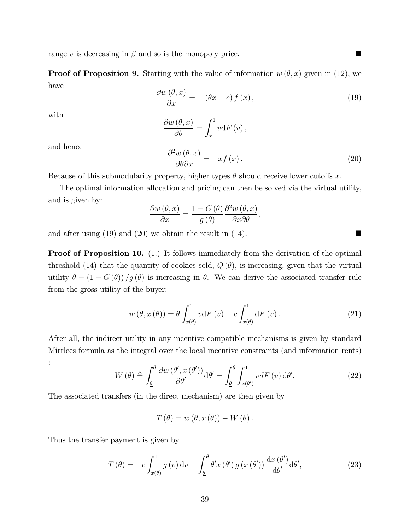range v is decreasing in  $\beta$  and so is the monopoly price.

**Proof of Proposition 9.** Starting with the value of information  $w(\theta, x)$  given in (12), we have

$$
\frac{\partial w(\theta, x)}{\partial x} = -(\theta x - c) f(x),\tag{19}
$$

with

$$
\frac{\partial w(\theta, x)}{\partial \theta} = \int_x^1 v \mathrm{d} F(v),
$$

and hence

$$
\frac{\partial^2 w(\theta, x)}{\partial \theta \partial x} = -xf(x). \tag{20}
$$

Because of this submodularity property, higher types  $\theta$  should receive lower cutoffs x.

The optimal information allocation and pricing can then be solved via the virtual utility, and is given by:

$$
\frac{\partial w(\theta, x)}{\partial x} = \frac{1 - G(\theta)}{g(\theta)} \frac{\partial^2 w(\theta, x)}{\partial x \partial \theta},
$$

and after using (19) and (20) we obtain the result in (14).

**Proof of Proposition 10.** (1.) It follows immediately from the derivation of the optimal threshold (14) that the quantity of cookies sold,  $Q(\theta)$ , is increasing, given that the virtual utility  $\theta - (1 - G(\theta))/g(\theta)$  is increasing in  $\theta$ . We can derive the associated transfer rule from the gross utility of the buyer:

$$
w(\theta, x(\theta)) = \theta \int_{x(\theta)}^{1} v \, dF(v) - c \int_{x(\theta)}^{1} dF(v).
$$
 (21)

After all, the indirect utility in any incentive compatible mechanisms is given by standard Mirrlees formula as the integral over the local incentive constraints (and information rents) :

$$
W(\theta) \triangleq \int_{\underline{\theta}}^{\theta} \frac{\partial w(\theta', x(\theta'))}{\partial \theta'} d\theta' = \int_{\underline{\theta}}^{\theta} \int_{x(\theta')}^{1} v dF(v) d\theta'. \tag{22}
$$

The associated transfers (in the direct mechanism) are then given by

$$
T(\theta) = w(\theta, x(\theta)) - W(\theta).
$$

Thus the transfer payment is given by

$$
T(\theta) = -c \int_{x(\theta)}^1 g(v) dv - \int_{\underline{\theta}}^{\theta} \theta' x(\theta') g(x(\theta')) \frac{dx(\theta')}{d\theta'} d\theta',
$$
\n(23)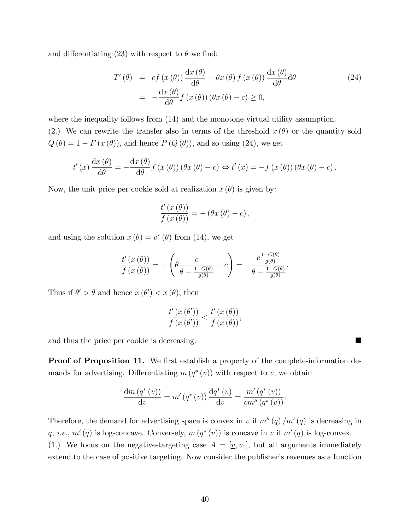and differentiating (23) with respect to  $\theta$  we find:

$$
T'(\theta) = cf(x(\theta)) \frac{dx(\theta)}{d\theta} - \theta x(\theta) f(x(\theta)) \frac{dx(\theta)}{d\theta} d\theta
$$
  
= 
$$
-\frac{dx(\theta)}{d\theta} f(x(\theta)) (\theta x(\theta) - c) \ge 0,
$$
 (24)

where the inequality follows from  $(14)$  and the monotone virtual utility assumption. (2.) We can rewrite the transfer also in terms of the threshold  $x(\theta)$  or the quantity sold  $Q(\theta) = 1 - F(x(\theta))$ , and hence  $P(Q(\theta))$ , and so using (24), we get

$$
t'(x)\frac{dx(\theta)}{d\theta} = -\frac{dx(\theta)}{d\theta}f(x(\theta))(\theta x(\theta) - c) \Leftrightarrow t'(x) = -f(x(\theta))(\theta x(\theta) - c).
$$

Now, the unit price per cookie sold at realization  $x(\theta)$  is given by:

$$
\frac{t'(x(\theta))}{f(x(\theta))} = -(\theta x(\theta) - c),
$$

and using the solution  $x(\theta) = v^*(\theta)$  from (14), we get

$$
\frac{t'(x(\theta))}{f(x(\theta))} = -\left(\theta \frac{c}{\theta - \frac{1 - G(\theta)}{g(\theta)}} - c\right) = -\frac{c \frac{1 - G(\theta)}{g(\theta)}}{\theta - \frac{1 - G(\theta)}{g(\theta)}}.
$$

Thus if  $\theta' > \theta$  and hence  $x(\theta') < x(\theta)$ , then

$$
\frac{t'\left(x\left(\theta'\right)\right)}{f\left(x\left(\theta'\right)\right)} < \frac{t'\left(x\left(\theta\right)\right)}{f\left(x\left(\theta\right)\right)},
$$

and thus the price per cookie is decreasing.

**Proof of Proposition 11.** We first establish a property of the complete-information demands for advertising. Differentiating  $m(q^*(v))$  with respect to v, we obtain

$$
\frac{\mathrm{d}m\left(q^*(v)\right)}{\mathrm{d}v} = m'\left(q^*(v)\right)\frac{\mathrm{d}q^*(v)}{\mathrm{d}v} = \frac{m'\left(q^*(v)\right)}{cm''\left(q^*(v)\right)}.
$$

Therefore, the demand for advertising space is convex in v if  $m''(q)/m'(q)$  is decreasing in q, *i.e.*,  $m'(q)$  is log-concave. Conversely,  $m(q^*(v))$  is concave in v if  $m'(q)$  is log-convex. (1.) We focus on the negative-targeting case  $A = [\underline{v}, v_1]$ , but all arguments immediately extend to the case of positive targeting. Now consider the publisher's revenues as a function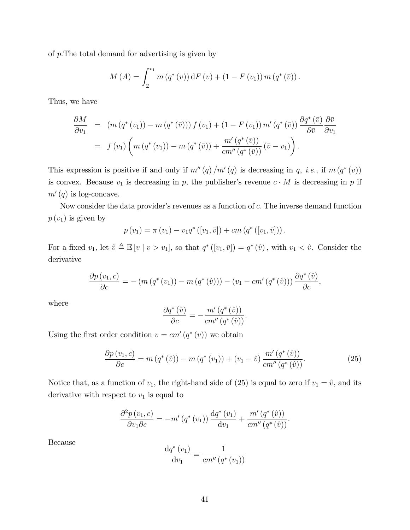of  $p$ . The total demand for advertising is given by

$$
M(A) = \int_{\underline{v}}^{v_1} m(q^*(v)) dF(v) + (1 - F(v_1)) m(q^*(\bar{v})).
$$

Thus, we have

$$
\frac{\partial M}{\partial v_1} = (m (q^* (v_1)) - m (q^* (\bar{v}))) f (v_1) + (1 - F (v_1)) m' (q^* (\bar{v})) \frac{\partial q^* (\bar{v})}{\partial \bar{v}} \frac{\partial \bar{v}}{\partial v_1}
$$
  
=  $f (v_1) \left( m (q^* (v_1)) - m (q^* (\bar{v})) + \frac{m' (q^* (\bar{v}))}{cm'' (q^* (\bar{v}))} (\bar{v} - v_1) \right).$ 

This expression is positive if and only if  $m''(q)/m'(q)$  is decreasing in q, *i.e.*, if  $m(q^*(v))$ is convex. Because  $v_1$  is decreasing in p, the publisher's revenue  $c \cdot M$  is decreasing in p if  $m'(q)$  is log-concave.

Now consider the data provider's revenues as a function of  $c$ . The inverse demand function  $p(v_1)$  is given by

$$
p(v_1) = \pi(v_1) - v_1 q^* ([v_1, \bar{v}]) + cm (q^* ([v_1, \bar{v}])).
$$

For a fixed  $v_1$ , let  $\hat{v} \triangleq \mathbb{E}[v \mid v > v_1]$ , so that  $q^*([v_1, \bar{v}]) = q^*(\hat{v})$ , with  $v_1 < \hat{v}$ . Consider the derivative

$$
\frac{\partial p(v_1, c)}{\partial c} = -\left(m\left(q^*(v_1)\right) - m\left(q^*(\hat{v})\right)\right) - \left(v_1 - cm'\left(q^*(\hat{v})\right)\right) \frac{\partial q^*(\hat{v})}{\partial c},
$$

where

$$
\frac{\partial q^*(\hat{v})}{\partial c} = -\frac{m'(q^*(\hat{v}))}{cm''(q^*(\hat{v}))}.
$$

Using the first order condition  $v = cm'(q^*(v))$  we obtain

$$
\frac{\partial p(v_1, c)}{\partial c} = m(q^*(\hat{v})) - m(q^*(v_1)) + (v_1 - \hat{v}) \frac{m'(q^*(\hat{v}))}{cm''(q^*(\hat{v}))}.
$$
\n(25)

Notice that, as a function of  $v_1$ , the right-hand side of (25) is equal to zero if  $v_1 = \hat{v}$ , and its derivative with respect to  $v_1$  is equal to

$$
\frac{\partial^2 p(v_1, c)}{\partial v_1 \partial c} = -m'(q^*(v_1)) \frac{dq^*(v_1)}{dv_1} + \frac{m'(q^*(\hat{v}))}{cm''(q^*(\hat{v}))}.
$$

Because

$$
\frac{\mathrm{d}q^*(v_1)}{\mathrm{d}v_1} = \frac{1}{cm''(q^*(v_1))}
$$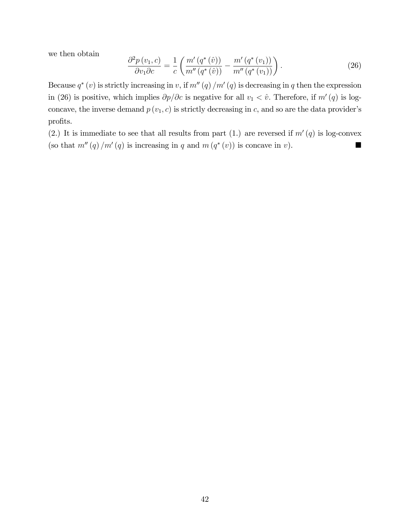we then obtain

$$
\frac{\partial^2 p(v_1, c)}{\partial v_1 \partial c} = \frac{1}{c} \left( \frac{m'(q^*(\hat{v}))}{m''(q^*(\hat{v}))} - \frac{m'(q^*(v_1))}{m''(q^*(v_1))} \right). \tag{26}
$$

Because  $q^*(v)$  is strictly increasing in v, if  $m''(q)/m'(q)$  is decreasing in q then the expression in (26) is positive, which implies  $\partial p/\partial c$  is negative for all  $v_1 < \hat{v}$ . Therefore, if  $m'(q)$  is logconcave, the inverse demand  $p(v_1, c)$  is strictly decreasing in c, and so are the data provider's profits.

(2.) It is immediate to see that all results from part (1.) are reversed if  $m'(q)$  is log-convex (so that  $m''(q)/m'(q)$  is increasing in q and  $m(q^*(v))$  is concave in v).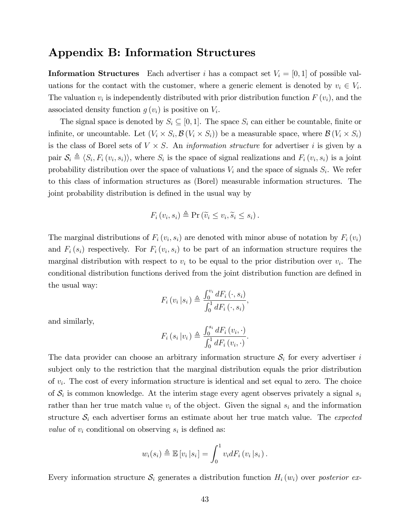## Appendix B: Information Structures

**Information Structures** Each advertiser i has a compact set  $V_i = [0, 1]$  of possible valuations for the contact with the customer, where a generic element is denoted by  $v_i \in V_i$ . The valuation  $v_i$  is independently distributed with prior distribution function  $F(v_i)$ , and the associated density function  $g(v_i)$  is positive on  $V_i$ .

The signal space is denoted by  $S_i \subseteq [0,1]$ . The space  $S_i$  can either be countable, finite or infinite, or uncountable. Let  $(V_i \times S_i, \mathcal{B}(V_i \times S_i))$  be a measurable space, where  $\mathcal{B}(V_i \times S_i)$ is the class of Borel sets of  $V \times S$ . An *information structure* for advertiser *i* is given by a pair  $S_i \triangleq \langle S_i, F_i(v_i, s_i) \rangle$ , where  $S_i$  is the space of signal realizations and  $F_i(v_i, s_i)$  is a joint probability distribution over the space of valuations  $V_i$  and the space of signals  $S_i$ . We refer to this class of information structures as (Borel) measurable information structures. The joint probability distribution is defined in the usual way by

$$
F_i(v_i, s_i) \triangleq \Pr\left(\widetilde{v}_i \leq v_i, \widetilde{s}_i \leq s_i\right).
$$

The marginal distributions of  $F_i(v_i, s_i)$  are denoted with minor abuse of notation by  $F_i(v_i)$ and  $F_i(s_i)$  respectively. For  $F_i(v_i, s_i)$  to be part of an information structure requires the marginal distribution with respect to  $v_i$  to be equal to the prior distribution over  $v_i$ . The conditional distribution functions derived from the joint distribution function are defined in the usual way:

$$
F_i(v_i|s_i) \triangleq \frac{\int_0^{v_i} dF_i(v_i, s_i)}{\int_0^1 dF_i(v_i, s_i)},
$$

and similarly,

$$
F_i(s_i|v_i) \triangleq \frac{\int_0^{s_i} dF_i(v_i, \cdot)}{\int_0^1 dF_i(v_i, \cdot)}.
$$

The data provider can choose an arbitrary information structure  $S_i$  for every advertiser i subject only to the restriction that the marginal distribution equals the prior distribution of  $v_i$ . The cost of every information structure is identical and set equal to zero. The choice of  $S_i$  is common knowledge. At the interim stage every agent observes privately a signal  $s_i$ rather than her true match value  $v_i$  of the object. Given the signal  $s_i$  and the information structure  $S_i$  each advertiser forms an estimate about her true match value. The *expected value* of  $v_i$  conditional on observing  $s_i$  is defined as:

$$
w_i(s_i) \triangleq \mathbb{E}\left[v_i\left|s_i\right.\right] = \int_0^1 v_i dF_i\left(v_i\left|s_i\right.\right).
$$

Every information structure  $S_i$  generates a distribution function  $H_i(w_i)$  over posterior ex-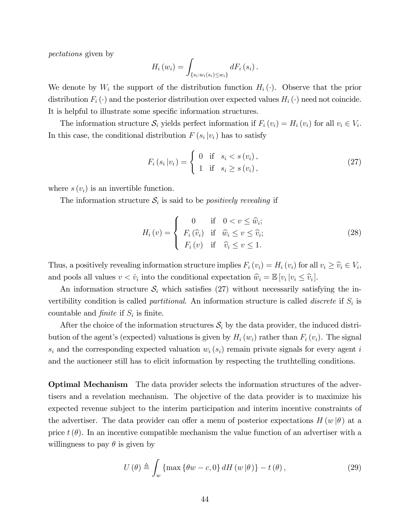pectations given by

$$
H_i(w_i) = \int_{\{s_i:w_i(s_i)\leq w_i\}} dF_i(s_i).
$$

We denote by  $W_i$  the support of the distribution function  $H_i(\cdot)$ . Observe that the prior distribution  $F_i(\cdot)$  and the posterior distribution over expected values  $H_i(\cdot)$  need not coincide. It is helpful to illustrate some specific information structures.

The information structure  $S_i$  yields perfect information if  $F_i(v_i) = H_i(v_i)$  for all  $v_i \in V_i$ . In this case, the conditional distribution  $F(s_i|v_i)$  has to satisfy

$$
F_i(s_i|v_i) = \begin{cases} 0 & \text{if } s_i < s(v_i), \\ 1 & \text{if } s_i \ge s(v_i), \end{cases}
$$
 (27)

where  $s(v_i)$  is an invertible function.

The information structure  $S_i$  is said to be *positively revealing* if

$$
H_i(v) = \begin{cases} 0 & \text{if } 0 < v \leq \hat{w}_i; \\ F_i(\hat{v}_i) & \text{if } \hat{w}_i \leq v \leq \hat{v}_i; \\ F_i(v) & \text{if } \hat{v}_i \leq v \leq 1. \end{cases}
$$
 (28)

Thus, a positively revealing information structure implies  $F_i(v_i) = H_i(v_i)$  for all  $v_i \geq \hat{v}_i \in V_i$ , and pools all values  $v < \hat{v}_i$  into the conditional expectation  $\hat{w}_i = \mathbb{E}[v_i | v_i \leq \hat{v}_i].$ 

An information structure  $\mathcal{S}_i$  which satisfies (27) without necessarily satisfying the invertibility condition is called *partitional*. An information structure is called *discrete* if  $S_i$  is countable and *finite* if  $S_i$  is finite.

After the choice of the information structures  $S_i$  by the data provider, the induced distribution of the agent's (expected) valuations is given by  $H_i(w_i)$  rather than  $F_i(v_i)$ . The signal  $s_i$  and the corresponding expected valuation  $w_i$   $(s_i)$  remain private signals for every agent i and the auctioneer still has to elicit information by respecting the truthtelling conditions.

Optimal Mechanism The data provider selects the information structures of the advertisers and a revelation mechanism. The objective of the data provider is to maximize his expected revenue subject to the interim participation and interim incentive constraints of the advertiser. The data provider can offer a menu of posterior expectations  $H(w | \theta)$  at a price  $t(\theta)$ . In an incentive compatible mechanism the value function of an advertiser with a willingness to pay  $\theta$  is given by

$$
U(\theta) \triangleq \int_{w} \{ \max \{ \theta w - c, 0 \} \, dH(w|\theta) \} - t(\theta), \tag{29}
$$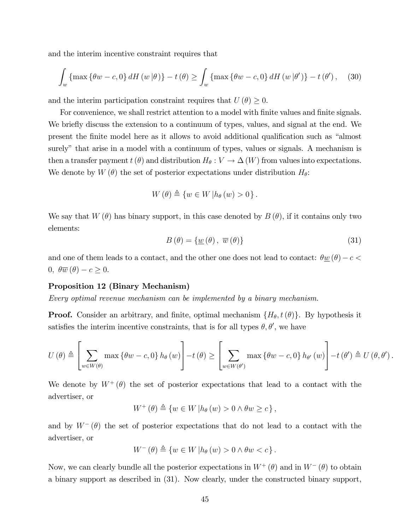and the interim incentive constraint requires that

$$
\int_{w} \left\{ \max \left\{ \theta w - c, 0 \right\} dH \left( w \left| \theta \right) \right\} - t \left( \theta \right) \ge \int_{w} \left\{ \max \left\{ \theta w - c, 0 \right\} dH \left( w \left| \theta' \right) \right\} - t \left( \theta' \right), \tag{30}
$$

and the interim participation constraint requires that  $U(\theta) \geq 0$ .

For convenience, we shall restrict attention to a model with finite values and finite signals. We briefly discuss the extension to a continuum of types, values, and signal at the end. We present the finite model here as it allows to avoid additional qualification such as "almost surely" that arise in a model with a continuum of types, values or signals. A mechanism is then a transfer payment  $t(\theta)$  and distribution  $H_{\theta}: V \to \Delta(W)$  from values into expectations. We denote by  $W(\theta)$  the set of posterior expectations under distribution  $H_{\theta}$ :

$$
W(\theta) \triangleq \{ w \in W | h_{\theta}(w) > 0 \}.
$$

We say that  $W(\theta)$  has binary support, in this case denoted by  $B(\theta)$ , if it contains only two elements:

$$
B(\theta) = \{ \underline{w}(\theta), \overline{w}(\theta) \}
$$
 (31)

and one of them leads to a contact, and the other one does not lead to contact:  $\theta \underline{w}(\theta) - c$  $0, \ \theta \overline{w}(\theta) - c \geq 0.$ 

#### Proposition 12 (Binary Mechanism)

Every optimal revenue mechanism can be implemented by a binary mechanism.

**Proof.** Consider an arbitrary, and finite, optimal mechanism  $\{H_{\theta}, t(\theta)\}\$ . By hypothesis it satisfies the interim incentive constraints, that is for all types  $\theta$ ,  $\theta'$ , we have

$$
U(\theta) \triangleq \left[\sum_{w \in W(\theta)} \max \left\{\theta w - c, 0\right\} h_{\theta}(w)\right] - t(\theta) \geq \left[\sum_{w \in W(\theta')} \max \left\{\theta w - c, 0\right\} h_{\theta'}(w)\right] - t(\theta') \triangleq U(\theta, \theta').
$$

We denote by  $W^+(\theta)$  the set of posterior expectations that lead to a contact with the advertiser, or

$$
W^+(\theta) \triangleq \{ w \in W \mid h_{\theta}(w) > 0 \land \theta w \geq c \},
$$

and by  $W^{-}(\theta)$  the set of posterior expectations that do not lead to a contact with the advertiser, or

$$
W^{-}(\theta) \triangleq \{ w \in W \, | h_{\theta}(w) > 0 \wedge \theta w < c \}.
$$

Now, we can clearly bundle all the posterior expectations in  $W^+(\theta)$  and in  $W^-(\theta)$  to obtain a binary support as described in (31). Now clearly, under the constructed binary support,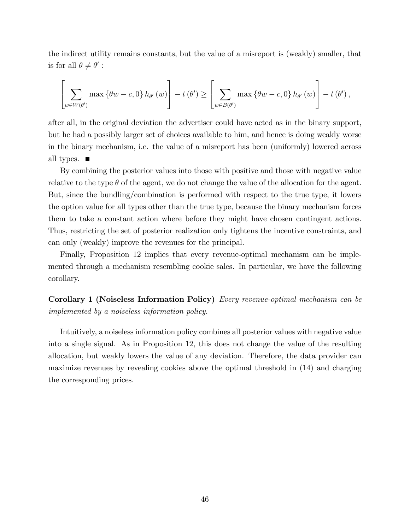the indirect utility remains constants, but the value of a misreport is (weakly) smaller, that is for all  $\theta \neq \theta'$ :

$$
\left[\sum_{w\in W(\theta')}\max\left\{\theta w-c,0\right\}h_{\theta'}\left(w\right)\right]-t\left(\theta'\right)\geq\left[\sum_{w\in B(\theta')}\max\left\{\theta w-c,0\right\}h_{\theta'}\left(w\right)\right]-t\left(\theta'\right),
$$

after all, in the original deviation the advertiser could have acted as in the binary support, but he had a possibly larger set of choices available to him, and hence is doing weakly worse in the binary mechanism, i.e. the value of a misreport has been (uniformly) lowered across all types.  $\blacksquare$ 

By combining the posterior values into those with positive and those with negative value relative to the type  $\theta$  of the agent, we do not change the value of the allocation for the agent. But, since the bundling/combination is performed with respect to the true type, it lowers the option value for all types other than the true type, because the binary mechanism forces them to take a constant action where before they might have chosen contingent actions. Thus, restricting the set of posterior realization only tightens the incentive constraints, and can only (weakly) improve the revenues for the principal.

Finally, Proposition 12 implies that every revenue-optimal mechanism can be implemented through a mechanism resembling cookie sales. In particular, we have the following corollary.

Corollary 1 (Noiseless Information Policy) Every revenue-optimal mechanism can be implemented by a noiseless information policy.

Intuitively, a noiseless information policy combines all posterior values with negative value into a single signal. As in Proposition 12, this does not change the value of the resulting allocation, but weakly lowers the value of any deviation. Therefore, the data provider can maximize revenues by revealing cookies above the optimal threshold in (14) and charging the corresponding prices.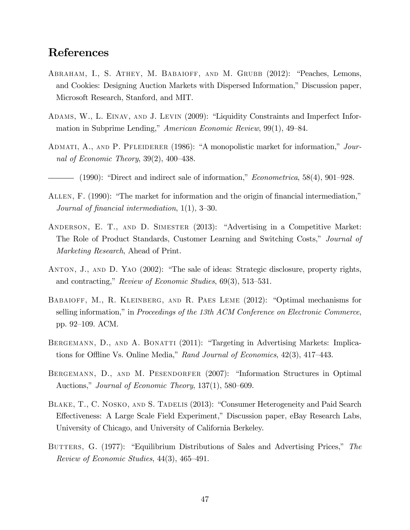## References

- ABRAHAM, I., S. ATHEY, M. BABAIOFF, AND M. GRUBB (2012): "Peaches, Lemons, and Cookies: Designing Auction Markets with Dispersed Information," Discussion paper, Microsoft Research, Stanford, and MIT.
- ADAMS, W., L. EINAV, AND J. LEVIN (2009): "Liquidity Constraints and Imperfect Information in Subprime Lending," American Economic Review,  $99(1)$ ,  $49-84$ .
- ADMATI, A., AND P. PFLEIDERER (1986): "A monopolistic market for information," Journal of Economic Theory,  $39(2)$ ,  $400-438$ .
- $-$  (1990): "Direct and indirect sale of information," *Econometrica*, 58(4), 901–928.
- ALLEN, F. (1990): "The market for information and the origin of financial intermediation," Journal of financial intermediation,  $1(1)$ ,  $3-30$ .
- ANDERSON, E. T., AND D. SIMESTER (2013): "Advertising in a Competitive Market: The Role of Product Standards, Customer Learning and Switching Costs," Journal of Marketing Research, Ahead of Print.
- ANTON, J., AND D. YAO (2002): "The sale of ideas: Strategic disclosure, property rights, and contracting," Review of Economic Studies,  $69(3)$ , 513–531.
- BABAIOFF, M., R. KLEINBERG, AND R. PAES LEME  $(2012)$ : "Optimal mechanisms for selling information," in Proceedings of the 13th ACM Conference on Electronic Commerce, pp. 92–109. ACM.
- BERGEMANN, D., AND A. BONATTI (2011): "Targeting in Advertising Markets: Implications for Offline Vs. Online Media," Rand Journal of Economics,  $42(3)$ ,  $417-443$ .
- BERGEMANN, D., AND M. PESENDORFER (2007): "Information Structures in Optimal Auctions," Journal of Economic Theory,  $137(1)$ ,  $580-609$ .
- BLAKE, T., C. NOSKO, AND S. TADELIS (2013): "Consumer Heterogeneity and Paid Search Effectiveness: A Large Scale Field Experiment," Discussion paper, eBay Research Labs, University of Chicago, and University of California Berkeley.
- BUTTERS, G. (1977): "Equilibrium Distributions of Sales and Advertising Prices," The Review of Economic Studies,  $44(3)$ ,  $465-491$ .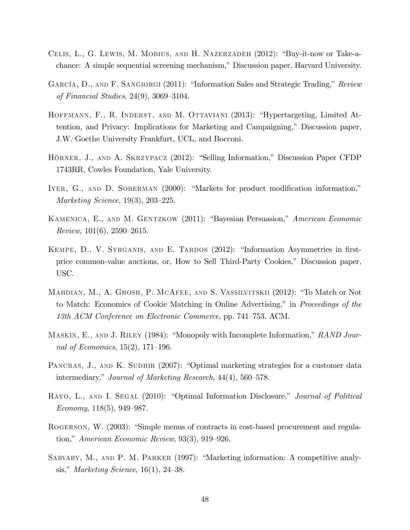- CELIS, L., G. LEWIS, M. MOBIUS, AND H. NAZERZADEH (2012): "Buy-it-now or Take-achance: A simple sequential screening mechanism," Discussion paper, Harvard University.
- GARCÍA, D., AND F. SANGIORGI (2011): "Information Sales and Strategic Trading," Review of Financial Studies,  $24(9)$ ,  $3069-3104$ .
- HOFFMANN, F., R. INDERST, AND M. OTTAVIANI (2013): "Hypertargeting, Limited Attention, and Privacy: Implications for Marketing and Campaigning," Discussion paper, J.W. Goethe University Frankfurt, UCL, and Bocconi.
- HÖRNER, J., AND A. SKRZYPACZ (2012): "Selling Information," Discussion Paper CFDP 1743RR, Cowles Foundation, Yale University.
- IYER, G., AND D. SOBERMAN (2000): "Markets for product modification information," Marketing Science,  $19(3)$ ,  $203-225$ .
- KAMENICA, E., AND M. GENTZKOW (2011): "Bayesian Persuasion," American Economic Review,  $101(6)$ ,  $2590-2615$ .
- KEMPE, D., V. SYRGANIS, AND E. TARDOS (2012): "Information Asymmetries in firstprice common-value auctions, or, How to Sell Third-Party Cookies," Discussion paper, USC.
- MAHDIAN, M., A. GHOSH, P. MCAFEE, AND S. VASSILVITSKII (2012): "To Match or Not to Match: Economics of Cookie Matching in Online Advertising," in *Proceedings of the* 13th ACM Conference on Electronic Commerce, pp. 741–753. ACM.
- MASKIN, E., AND J. RILEY (1984): "Monopoly with Incomplete Information," RAND Journal of Economics,  $15(2)$ , 171–196.
- PANCRAS, J., AND K. SUDHIR (2007): "Optimal marketing strategies for a customer data intermediary," Journal of Marketing Research,  $44(4)$ , 560–578.
- RAYO, L., AND I. SEGAL (2010): "Optimal Information Disclosure," Journal of Political Economy,  $118(5)$ , 949–987.
- ROGERSON, W. (2003): "Simple menus of contracts in cost-based procurement and regulation," American Economic Review,  $93(3)$ ,  $919-926$ .
- SARVARY, M., AND P. M. PARKER  $(1997)$ : "Marketing information: A competitive analysis," Marketing Science, 16(1), 24–38.